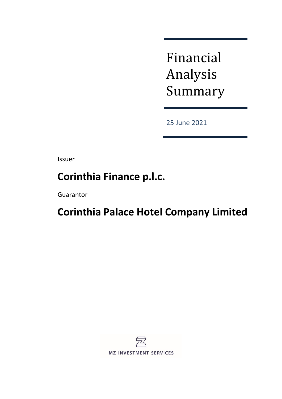Financial Analysis Summary

25 June 2021

Issuer

# **Corinthia Finance p.l.c.**

Guarantor

# **Corinthia Palace Hotel Company Limited**

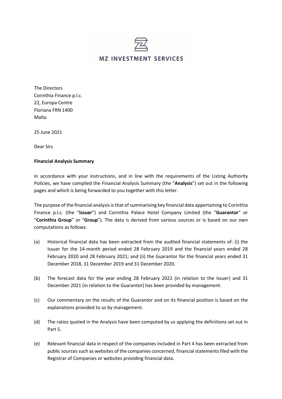

The Directors Corinthia Finance p.l.c. 22, Europa Centre Floriana FRN 1400 Malta

25 June 2021

Dear Sirs

#### **Financial Analysis Summary**

In accordance with your instructions, and in line with the requirements of the Listing Authority Policies, we have compiled the Financial Analysis Summary (the "**Analysis**") set out in the following pages and which is being forwarded to you together with this letter.

The purpose of the financial analysis is that of summarising key financial data appertaining to Corinthia Finance p.l.c. (the "**Issuer**") and Corinthia Palace Hotel Company Limited (the "**Guarantor**" or "**Corinthia Group**" or "**Group**"). The data is derived from various sources or is based on our own computations as follows:

- (a) Historical financial data has been extracted from the audited financial statements of: (i) the Issuer for the 14-month period ended 28 February 2019 and the financial years ended 28 February 2020 and 28 February 2021; and (ii) the Guarantor for the financial years ended 31 December 2018, 31 December 2019 and 31 December 2020.
- (b) The forecast data for the year ending 28 February 2022 (in relation to the Issuer) and 31 December 2021 (in relation to the Guarantor) has been provided by management.
- (c) Our commentary on the results of the Guarantor and on its financial position is based on the explanations provided to us by management.
- (d) The ratios quoted in the Analysis have been computed by us applying the definitions set out in Part 5.
- (e) Relevant financial data in respect of the companies included in Part 4 has been extracted from public sources such as websites of the companies concerned, financial statements filed with the Registrar of Companies or websites providing financial data.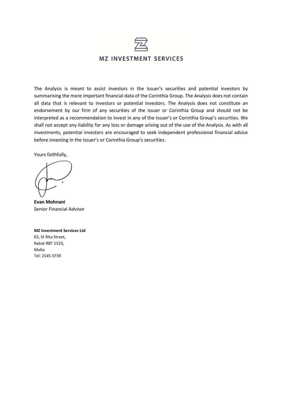

The Analysis is meant to assist investors in the Issuer's securities and potential investors by summarising the more important financial data of the Corinthia Group. The Analysis does not contain all data that is relevant to investors or potential investors. The Analysis does not constitute an endorsement by our firm of any securities of the Issuer or Corinthia Group and should not be interpreted as a recommendation to invest in any of the Issuer's or Corinthia Group's securities. We shall not accept any liability for any loss or damage arising out of the use of the Analysis. As with all investments, potential investors are encouraged to seek independent professional financial advice before investing in the Issuer's or Corinthia Group's securities.

Yours faithfully,

**Evan Mohnani** Senior Financial Advisor

#### **MZ Investment Services Ltd**

63, St Rita Street, Rabat RBT 1523, Malta Tel: 2145 3739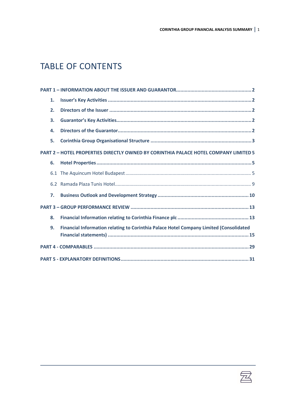# TABLE OF CONTENTS

| 1. |                                                                                        |
|----|----------------------------------------------------------------------------------------|
| 2. |                                                                                        |
| 3. |                                                                                        |
| 4. |                                                                                        |
| 5. |                                                                                        |
|    | PART 2 - HOTEL PROPERTIES DIRECTLY OWNED BY CORINTHIA PALACE HOTEL COMPANY LIMITED 5   |
| 6. |                                                                                        |
|    |                                                                                        |
|    |                                                                                        |
| 7. |                                                                                        |
|    |                                                                                        |
| 8. |                                                                                        |
| 9. | Financial Information relating to Corinthia Palace Hotel Company Limited (Consolidated |
|    |                                                                                        |
|    |                                                                                        |

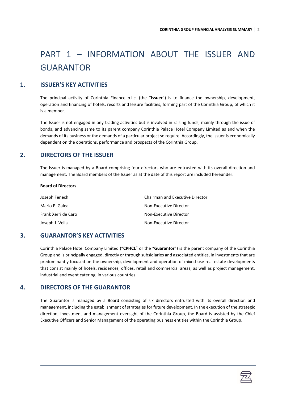# <span id="page-4-0"></span>PART 1 – INFORMATION ABOUT THE ISSUER AND GUARANTOR

# **1. ISSUER'S KEY ACTIVITIES**

<span id="page-4-1"></span>The principal activity of Corinthia Finance p.l.c. (the "**Issuer**") is to finance the ownership, development, operation and financing of hotels, resorts and leisure facilities, forming part of the Corinthia Group, of which it is a member.

The Issuer is not engaged in any trading activities but is involved in raising funds, mainly through the issue of bonds, and advancing same to its parent company Corinthia Palace Hotel Company Limited as and when the demands of its business or the demands of a particular project so require. Accordingly, the Issuer is economically dependent on the operations, performance and prospects of the Corinthia Group.

# **2. DIRECTORS OF THE ISSUER**

<span id="page-4-2"></span>The Issuer is managed by a Board comprising four directors who are entrusted with its overall direction and management. The Board members of the Issuer as at the date of this report are included hereunder:

#### **Board of Directors**

| Joseph Fenech       | <b>Chairman and Executive Director</b> |
|---------------------|----------------------------------------|
| Mario P. Galea      | Non-Executive Director                 |
| Frank Xerri de Caro | Non-Executive Director                 |
| Joseph J. Vella     | Non-Executive Director                 |

# **3. GUARANTOR'S KEY ACTIVITIES**

<span id="page-4-3"></span>Corinthia Palace Hotel Company Limited ("**CPHCL**" or the "**Guarantor**") is the parent company of the Corinthia Group and is principally engaged, directly or through subsidiaries and associated entities, in investments that are predominantly focused on the ownership, development and operation of mixed-use real estate developments that consist mainly of hotels, residences, offices, retail and commercial areas, as well as project management, industrial and event catering, in various countries.

# **4. DIRECTORS OF THE GUARANTOR**

<span id="page-4-4"></span>The Guarantor is managed by a Board consisting of six directors entrusted with its overall direction and management, including the establishment of strategies for future development. In the execution of the strategic direction, investment and management oversight of the Corinthia Group, the Board is assisted by the Chief Executive Officers and Senior Management of the operating business entities within the Corinthia Group.

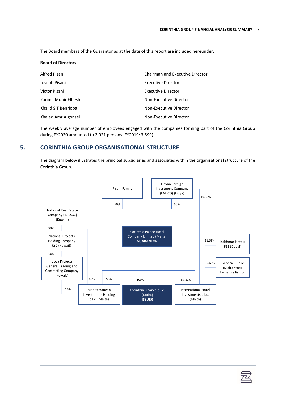The Board members of the Guarantor as at the date of this report are included hereunder:

| <b>Board of Directors</b> |                                        |
|---------------------------|----------------------------------------|
| Alfred Pisani             | <b>Chairman and Executive Director</b> |
| Joseph Pisani             | <b>Executive Director</b>              |
| Victor Pisani             | <b>Executive Director</b>              |
| Karima Munir Elbeshir     | Non-Executive Director                 |
| Khalid S T Benrioba       | Non-Executive Director                 |
| Khaled Amr Algonsel       | Non-Executive Director                 |

The weekly average number of employees engaged with the companies forming part of the Corinthia Group during FY2020 amounted to 2,021 persons (FY2019: 3,599).

# **5. CORINTHIA GROUP ORGANISATIONAL STRUCTURE**

<span id="page-5-0"></span>The diagram below illustrates the principal subsidiaries and associates within the organisational structure of the Corinthia Group.



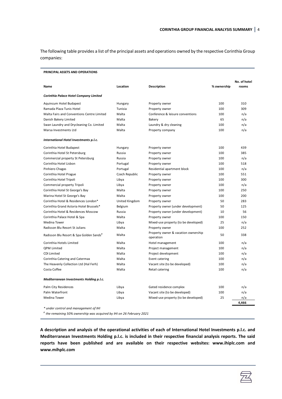The following table provides a list of the principal assets and operations owned by the respective Corinthia Group companies:

#### **PRINCIPAL ASSETS AND OPERATIONS**

|                                            |                |                                                  |             | No. of hotel |
|--------------------------------------------|----------------|--------------------------------------------------|-------------|--------------|
| Name                                       | Location       | <b>Description</b>                               | % ownership | rooms        |
| Corinthia Palace Hotel Company Limited     |                |                                                  |             |              |
| Aquincum Hotel Budapest                    | Hungary        | Property owner                                   | 100         | 310          |
| Ramada Plaza Tunis Hotel                   | Tunisia        | Property owner                                   | 100         | 309          |
| Malta Fairs and Conventions Centre Limited | Malta          | Conference & leisure conventions                 | 100         | n/a          |
| Danish Bakery Limited                      | Malta          | Bakery                                           | 65          | n/a          |
| Swan Laundry and Drycleaning Co. Limited   | Malta          | Laundry & dry cleaning                           | 100         | n/a          |
| Marsa Investments Ltd                      | Malta          | Property company                                 | 100         | n/a          |
| International Hotel Investments p.l.c.     |                |                                                  |             |              |
| Corinthia Hotel Budapest                   | Hungary        | Property owner                                   | 100         | 439          |
| Corinthia Hotel St Petersburg              | Russia         | Property owner                                   | 100         | 385          |
| Commercial property St Petersburg          | Russia         | Property owner                                   | 100         | n/a          |
| Corinthia Hotel Lisbon                     | Portugal       | Property owner                                   | 100         | 518          |
| Pinhiero Chagas                            | Portugal       | Residential apartment block                      | 100         | n/a          |
| Corinthia Hotel Prague                     | Czech Republic | Property owner                                   | 100         | 551          |
| Corinthia Hotel Tripoli                    | Libya          | Property owner                                   | 100         | 300          |
| Commercial property Tripoli                | Libya          | Property owner                                   | 100         | n/a          |
| Corinthia Hotel St George's Bay            | Malta          | Property owner                                   | 100         | 250          |
| Marina Hotel St George's Bay               | Malta          | Property owner                                   | 100         | 200          |
| Corinthia Hotel & Residences London*       | United Kingdom | Property owner                                   | 50          | 283          |
| Corinthia Grand Astoria Hotel Brussels*    | Belgium        | Property owner (under development)               | 50          | 125          |
| Corinthia Hotel & Residences Moscow        | Russia         | Property owner (under development)               | 10          | 56           |
| Corinthia Palace Hotel & Spa               | Malta          | Property owner                                   | 100         | 150          |
| <b>Medina Tower</b>                        | Libya          | Mixed-use property (to be developed)             | 25          | n/a          |
| Radisson Blu Resort St Julians             | Malta          | Property owner                                   | 100         | 252          |
| Radisson Blu Resort & Spa Golden Sands#    | Malta          | Property owner & vacation ownership<br>operation | 50          | 338          |
| Corinthia Hotels Limited                   | Malta          | Hotel management                                 | 100         | n/a          |
| <b>QPM Limited</b>                         | Malta          | Project management                               | 100         | n/a          |
| CDI Limited                                | Malta          | Project development                              | 100         | n/a          |
| Corinthia Catering and Catermax            | Malta          | Event catering                                   | 100         | n/a          |
| The Heavenly Collection Ltd (Hal Ferh)     | Malta          | Vacant site (to be developed)                    | 100         | n/a          |
| Costa Coffee                               | Malta          | Retail catering                                  | 100         | n/a          |
| Mediterranean Investments Holding p.l.c.   |                |                                                  |             |              |
| Palm City Residences                       | Libya          | Gated residence complex                          | 100         | n/a          |
| Palm Waterfront                            | Libya          | Vacant site (to be developed)                    | 100         | n/a          |
| <b>Medina Tower</b>                        | Libya          | Mixed-use property (to be developed)             | 25          | n/a          |
|                                            |                |                                                  |             | 4,466        |
| * under control and management of IHI      |                |                                                  |             |              |

*# the remaining 50% ownership was acquired by IHI on 26 February 2021*

**A description and analysis of the operational activities of each of International Hotel Investments p.l.c. and Mediterranean Investments Holding p.l.c. is included in their respective financial analysis reports. The said reports have been published and are available on their respective websites: [www.ihiplc.com](http://www.ihiplc.com/) and www.mihplc.com** 

 $\mathbb{Z}$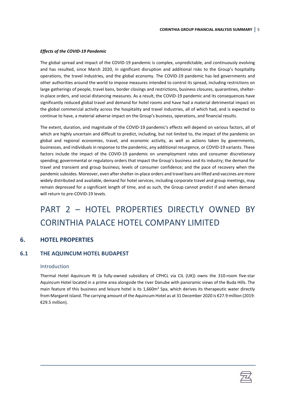#### *Effects of the COVID-19 Pandemic*

The global spread and impact of the COVID-19 pandemic is complex, unpredictable, and continuously evolving and has resulted, since March 2020, in significant disruption and additional risks to the Group's hospitality operations, the travel industries, and the global economy. The COVID-19 pandemic has led governments and other authorities around the world to impose measures intended to control its spread, including restrictions on large gatherings of people, travel bans, border closings and restrictions, business closures, quarantines, shelterin-place orders, and social distancing measures. As a result, the COVID-19 pandemic and its consequences have significantly reduced global travel and demand for hotel rooms and have had a material detrimental impact on the global commercial activity across the hospitality and travel industries, all of which had, and is expected to continue to have, a material adverse impact on the Group's business, operations, and financial results.

The extent, duration, and magnitude of the COVID-19 pandemic's effects will depend on various factors, all of which are highly uncertain and difficult to predict, including, but not limited to, the impact of the pandemic on global and regional economies, travel, and economic activity, as well as actions taken by governments, businesses, and individuals in response to the pandemic, any additional resurgence, or COVID-19 variants. These factors include the impact of the COVID-19 pandemic on unemployment rates and consumer discretionary spending; governmental or regulatory orders that impact the Group's business and its industry; the demand for travel and transient and group business; levels of consumer confidence; and the pace of recovery when the pandemic subsides. Moreover, even after shelter-in-place orders and travel bans are lifted and vaccines are more widely distributed and available, demand for hotel services, including corporate travel and group meetings, may remain depressed for a significant length of time, and as such, the Group cannot predict if and when demand will return to pre-COVID-19 levels.

# <span id="page-7-0"></span>PART 2 – HOTEL PROPERTIES DIRECTLY OWNED BY CORINTHIA PALACE HOTEL COMPANY LIMITED

# <span id="page-7-1"></span>**6. HOTEL PROPERTIES**

### <span id="page-7-2"></span>**6.1 THE AQUINCUM HOTEL BUDAPEST**

#### Introduction

Thermal Hotel Aquincum Rt (a fully-owned subsidiary of CPHCL via CIL (UK)) owns the 310-room five-star Aquincum Hotel located in a prime area alongside the river Danube with panoramic views of the Buda Hills. The main feature of this business and leisure hotel is its 1,660m<sup>2</sup> Spa, which derives its therapeutic water directly from Margaret Island. The carrying amount of the Aquincum Hotel as at 31 December 2020 is €27.9 million (2019: €29.5 million).

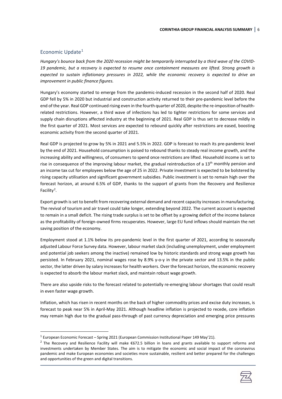### Economic Update<sup>[1](#page-8-0)</sup>

*Hungary's bounce back from the 2020 recession might be temporarily interrupted by a third wave of the COVID-19 pandemic, but a recovery is expected to resume once containment measures are lifted. Strong growth is expected to sustain inflationary pressures in 2022, while the economic recovery is expected to drive an improvement in public finance figures.*

Hungary's economy started to emerge from the pandemic-induced recession in the second half of 2020. Real GDP fell by 5% in 2020 but industrial and construction activity returned to their pre-pandemic level before the end of the year. Real GDP continued rising even in the fourth quarter of 2020, despite the re-imposition of healthrelated restrictions. However, a third wave of infections has led to tighter restrictions for some services and supply chain disruptions affected industry at the beginning of 2021. Real GDP is thus set to decrease mildly in the first quarter of 2021. Most services are expected to rebound quickly after restrictions are eased, boosting economic activity from the second quarter of 2021.

Real GDP is projected to grow by 5% in 2021 and 5.5% in 2022. GDP is forecast to reach its pre-pandemic level by the end of 2021. Household consumption is poised to rebound thanks to steady real income growth, and the increasing ability and willingness, of consumers to spend once restrictions are lifted. Household income is set to rise in consequence of the improving labour market, the gradual reintroduction of a 13<sup>th</sup> monthly pension and an income tax cut for employees below the age of 25 in 2022. Private investment is expected to be bolstered by rising capacity utilisation and significant government subsidies. Public investment is set to remain high over the forecast horizon, at around 6.5% of GDP, thanks to the support of grants from the Recovery and Resilience Facility<sup>[2](#page-8-1)</sup>.

Export growth is set to benefit from recovering external demand and recent capacity increases in manufacturing. The revival of tourism and air travel could take longer, extending beyond 2022. The current account is expected to remain in a small deficit. The rising trade surplus is set to be offset by a growing deficit of the income balance as the profitability of foreign-owned firms recuperates. However, large EU fund inflows should maintain the net saving position of the economy.

Employment stood at 1.1% below its pre-pandemic level in the first quarter of 2021, according to seasonally adjusted Labour Force Survey data. However, labour market slack (including unemployment, under employment and potential job seekers among the inactive) remained low by historic standards and strong wage growth has persisted. In February 2021, nominal wages rose by 8.9% y-o-y in the private sector and 13.5% in the public sector, the latter driven by salary increases for health workers. Over the forecast horizon, the economic recovery is expected to absorb the labour market slack, and maintain robust wage growth.

There are also upside risks to the forecast related to potentially re-emerging labour shortages that could result in even faster wage growth.

Inflation, which has risen in recent months on the back of higher commodity prices and excise duty increases, is forecast to peak near 5% in April-May 2021. Although headline inflation is projected to recede, core inflation may remain high due to the gradual pass-through of past currency depreciation and emerging price pressures

<span id="page-8-1"></span><sup>&</sup>lt;sup>2</sup> The Recovery and Resilience Facility will make €672.5 billion in loans and grants available to support reforms and investments undertaken by Member States. The aim is to mitigate the economic and social impact of the coronavirus pandemic and make European economies and societies more sustainable, resilient and better prepared for the challenges and opportunities of the green and digital transitions.



<span id="page-8-0"></span> $1$  European Economic Forecast – Spring 2021 (European Commission Institutional Paper 149 May'21).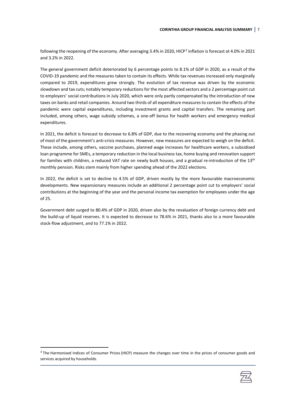following the reopening of the economy. After averaging [3](#page-9-0).4% in 2020, HICP<sup>3</sup> inflation is forecast at 4.0% in 2021 and 3.2% in 2022.

The general government deficit deteriorated by 6 percentage points to 8.1% of GDP in 2020, as a result of the COVID-19 pandemic and the measures taken to contain its effects. While tax revenues increased only marginally compared to 2019, expenditures grew strongly. The evolution of tax revenue was driven by the economic slowdown and tax cuts; notably temporary reductions for the most affected sectors and a 2 percentage point cut to employers' social contributions in July 2020, which were only partly compensated by the introduction of new taxes on banks and retail companies. Around two thirds of all expenditure measures to contain the effects of the pandemic were capital expenditures, including investment grants and capital transfers. The remaining part included, among others, wage subsidy schemes, a one-off bonus for health workers and emergency medical expenditures.

In 2021, the deficit is forecast to decrease to 6.8% of GDP, due to the recovering economy and the phasing out of most of the government's anti-crisis measures. However, new measures are expected to weigh on the deficit. These include, among others, vaccine purchases, planned wage increases for healthcare workers, a subsidised loan programme for SMEs, a temporary reduction in the local business tax, home buying and renovation support for families with children, a reduced VAT rate on newly built houses, and a gradual re-introduction of the  $13<sup>th</sup>$ monthly pension. Risks stem mainly from higher spending ahead of the 2022 elections.

In 2022, the deficit is set to decline to 4.5% of GDP, driven mostly by the more favourable macroeconomic developments. New expansionary measures include an additional 2 percentage point cut to employers' social contributions at the beginning of the year and the personal income tax exemption for employees under the age of 25.

Government debt surged to 80.4% of GDP in 2020, driven also by the revaluation of foreign currency debt and the build-up of liquid reserves. It is expected to decrease to 78.6% in 2021, thanks also to a more favourable stock-flow adjustment, and to 77.1% in 2022.

<span id="page-9-0"></span><sup>&</sup>lt;sup>3</sup> The Harmonised Indices of Consumer Prices (HICP) measure the changes over time in the prices of consumer goods and services acquired by households.

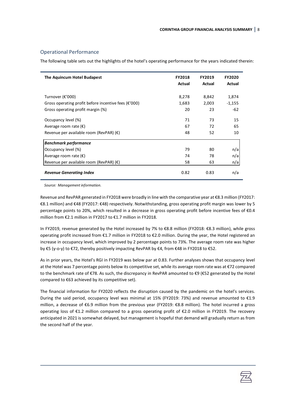#### Operational Performance

The following table sets out the highlights of the hotel's operating performance for the years indicated therein:

| The Aquincum Hotel Budapest                          | <b>FY2018</b><br>Actual | <b>FY2019</b><br>Actual | <b>FY2020</b><br>Actual |
|------------------------------------------------------|-------------------------|-------------------------|-------------------------|
| Turnover (€'000)                                     | 8,278                   | 8,842                   | 1,874                   |
| Gross operating profit before incentive fees (€'000) | 1,683                   | 2,003                   | -1,155                  |
| Gross operating profit margin (%)                    | 20                      | 23                      | -62                     |
| Occupancy level (%)                                  | 71                      | 73                      | 15                      |
| Average room rate $(\epsilon)$                       | 67                      | 72                      | 65                      |
| Revenue per available room (RevPAR) $(\epsilon)$     | 48                      | 52                      | 10                      |
| <b>Benchmark performance</b>                         |                         |                         |                         |
| Occupancy level (%)                                  | 79                      | 80                      | n/a                     |
| Average room rate $(\epsilon)$                       | 74                      | 78                      | n/a                     |
| Revenue per available room (RevPAR) $(\epsilon)$     | 58                      | 63                      | n/a                     |
| <b>Revenue Generating Index</b>                      | 0.82                    | 0.83                    | n/a                     |

*Source: Management information.*

Revenue and RevPAR generated in FY2018 were broadly in line with the comparative year at €8.3 million (FY2017: €8.1 million) and €48 (FY2017: €48) respectively. Notwithstanding, gross operating profit margin was lower by 5 percentage points to 20%, which resulted in a decrease in gross operating profit before incentive fees of €0.4 million from €2.1 million in FY2017 to €1.7 million in FY2018.

In FY2019, revenue generated by the Hotel increased by 7% to €8.8 million (FY2018: €8.3 million), while gross operating profit increased from €1.7 million in FY2018 to €2.0 million. During the year, the Hotel registered an increase in occupancy level, which improved by 2 percentage points to 73%. The average room rate was higher by €5 (y-o-y) to €72, thereby positively impacting RevPAR by €4, from €48 in FY2018 to €52.

As in prior years, the Hotel's RGI in FY2019 was below par at 0.83. Further analyses shows that occupancy level at the Hotel was 7 percentage points below its competitive set, while its average room rate was at €72 compared to the benchmark rate of €78. As such, the discrepancy in RevPAR amounted to €9 (€52 generated by the Hotel compared to €63 achieved by its competitive set).

The financial information for FY2020 reflects the disruption caused by the pandemic on the hotel's services. During the said period, occupancy level was minimal at 15% (FY2019: 73%) and revenue amounted to €1.9 million, a decrease of €6.9 million from the previous year (FY2019: €8.8 million). The hotel incurred a gross operating loss of €1.2 million compared to a gross operating profit of €2.0 million in FY2019. The recovery anticipated in 2021 is somewhat delayed, but management is hopeful that demand will gradually return as from the second half of the year.

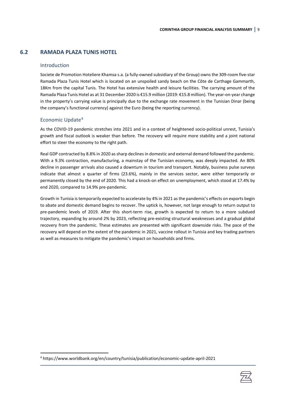# <span id="page-11-0"></span>**6.2 RAMADA PLAZA TUNIS HOTEL**

#### Introduction

Societe de Promotion Hoteliere Khamsa s.a. (a fully-owned subsidiary of the Group) owns the 309-room five-star Ramada Plaza Tunis Hotel which is located on an unspoiled sandy beach on the Côte de Carthage Gammarth, 18Km from the capital Tunis. The Hotel has extensive health and leisure facilities. The carrying amount of the Ramada Plaza Tunis Hotel as at 31 December 2020 is €15.9 million (2019: €15.8 million). The year-on-year change in the property's carrying value is principally due to the exchange rate movement in the Tunisian Dinar (being the company's functional currency) against the Euro (being the reporting currency).

## Economic Update<sup>[4](#page-11-1)</sup>

As the COVID-19 pandemic stretches into 2021 and in a context of heightened socio-political unrest, Tunisia's growth and fiscal outlook is weaker than before. The recovery will require more stability and a joint national effort to steer the economy to the right path.

Real GDP contracted by 8.8% in 2020 as sharp declines in domestic and external demand followed the pandemic. With a 9.3% contraction, manufacturing, a mainstay of the Tunisian economy, was deeply impacted. An 80% decline in passenger arrivals also caused a downturn in tourism and transport. Notably, business pulse surveys indicate that almost a quarter of firms (23.6%), mainly in the services sector, were either temporarily or permanently closed by the end of 2020. This had a knock-on effect on unemployment, which stood at 17.4% by end 2020, compared to 14.9% pre-pandemic.

[Growth in Tunisia is temporarily expected to accelerate by](https://www.worldbank.org/en/country/tunisia/publication/economic-update-april-2021) 4% in 2021 as the pandemic's effects on exports begin [to abate and domestic demand begins to recover.](https://www.worldbank.org/en/country/tunisia/publication/economic-update-april-2021) The uptick is, however, not large enough to return output to pre-pandemic levels of 2019. After this short-term rise, growth is expected to return to a more subdued trajectory, expanding by around 2% by 2023, reflecting pre-existing structural weaknesses and a gradual global recovery from the pandemic. These estimates are presented with significant downside risks. The pace of the recovery will depend on the extent of the pandemic in 2021, vaccine rollout in Tunisia and key trading partners as well as measures to mitigate the pandemic's impact on households and firms.



<span id="page-11-1"></span><sup>4</sup> https://www.worldbank.org/en/country/tunisia/publication/economic-update-april-2021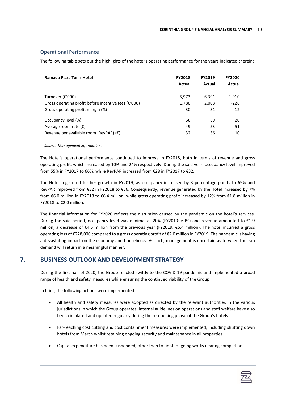### Operational Performance

The following table sets out the highlights of the hotel's operating performance for the years indicated therein:

| Ramada Plaza Tunis Hotel                                           | <b>FY2018</b><br>Actual | <b>FY2019</b><br>Actual | <b>FY2020</b><br>Actual |
|--------------------------------------------------------------------|-------------------------|-------------------------|-------------------------|
| Turnover (€'000)                                                   | 5,973                   | 6,391                   | 1,910                   |
| Gross operating profit before incentive fees ( $\varepsilon$ '000) | 1,786                   | 2,008                   | $-228$                  |
| Gross operating profit margin (%)                                  | 30                      | 31                      | $-12$                   |
| Occupancy level (%)                                                | 66                      | 69                      | 20                      |
| Average room rate $(\epsilon)$                                     | 49                      | 53                      | 51                      |
| Revenue per available room (RevPAR) $(\epsilon)$                   | 32                      | 36                      | 10                      |

*Source: Management information.*

The Hotel's operational performance continued to improve in FY2018, both in terms of revenue and gross operating profit, which increased by 10% and 24% respectively. During the said year, occupancy level improved from 55% in FY2017 to 66%, while RevPAR increased from €28 in FY2017 to €32.

The Hotel registered further growth in FY2019, as occupancy increased by 3 percentage points to 69% and RevPAR improved from €32 in FY2018 to €36. Consequently, revenue generated by the Hotel increased by 7% from €6.0 million in FY2018 to €6.4 million, while gross operating profit increased by 12% from €1.8 million in FY2018 to €2.0 million.

The financial information for FY2020 reflects the disruption caused by the pandemic on the hotel's services. During the said period, occupancy level was minimal at 20% (FY2019: 69%) and revenue amounted to €1.9 million, a decrease of €4.5 million from the previous year (FY2019: €6.4 million). The hotel incurred a gross operating loss of €228,000 compared to a gross operating profit of €2.0 million in FY2019. The pandemic is having a devastating impact on the economy and households. As such, management is uncertain as to when tourism demand will return in a meaningful manner.

# **7. BUSINESS OUTLOOK AND DEVELOPMENT STRATEGY**

<span id="page-12-0"></span>During the first half of 2020, the Group reacted swiftly to the COVID-19 pandemic and implemented a broad range of health and safety measures while ensuring the continued viability of the Group.

In brief, the following actions were implemented:

- All health and safety measures were adopted as directed by the relevant authorities in the various jurisdictions in which the Group operates. Internal guidelines on operations and staff welfare have also been circulated and updated regularly during the re-opening phase of the Group's hotels.
- Far-reaching cost cutting and cost containment measures were implemented, including shutting down hotels from March whilst retaining ongoing security and maintenance in all properties.
- Capital expenditure has been suspended, other than to finish ongoing works nearing completion.

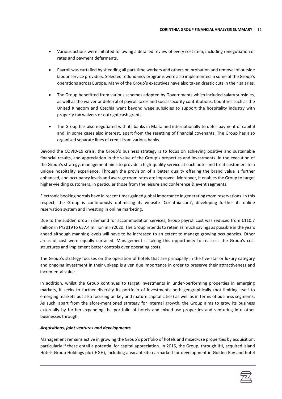- Various actions were initiated following a detailed review of every cost item, including renegotiation of rates and payment deferments.
- Payroll was curtailed by shedding all part-time workers and others on probation and removal of outside labour service providers. Selected redundancy programs were also implemented in some of the Group's operations across Europe. Many of the Group's executives have also taken drastic cuts in their salaries.
- The Group benefitted from various schemes adopted by Governments which included salary subsidies, as well as the waiver or deferral of payroll taxes and social security contributions. Countries such as the United Kingdom and Czechia went beyond wage subsidies to support the hospitality industry with property tax waivers or outright cash grants.
- The Group has also negotiated with its banks in Malta and internationally to defer payment of capital and, in some cases also interest, apart from the resetting of financial covenants. The Group has also organised separate lines of credit from various banks.

Beyond the COVID-19 crisis, the Group's business strategy is to focus on achieving positive and sustainable financial results, and appreciation in the value of the Group's properties and investments. In the execution of the Group's strategy, management aims to provide a high-quality service at each hotel and treat customers to a unique hospitality experience. Through the provision of a better quality offering the brand value is further enhanced, and occupancy levels and average room rates are improved. Moreover, it enables the Group to target higher-yielding customers, in particular those from the leisure and conference & event segments.

Electronic booking portals have in recent times gained global importance in generating room reservations. In this respect, the Group is continuously optimising its website 'Corinthia.com', developing further its online reservation system and investing in online marketing.

Due to the sudden drop in demand for accommodation services, Group payroll cost was reduced from €110.7 million in FY2019 to €57.4 million in FY2020. The Group intends to retain as much savings as possible in the years ahead although manning levels will have to be increased to an extent to manage growing occupancies. Other areas of cost were equally curtailed. Management is taking this opportunity to reassess the Group's cost structures and implement better controls over operating costs.

The Group's strategy focuses on the operation of hotels that are principally in the five-star or luxury category and ongoing investment in their upkeep is given due importance in order to preserve their attractiveness and incremental value.

In addition, whilst the Group continues to target investments in under-performing properties in emerging markets, it seeks to further diversify its portfolio of investments both geographically (not limiting itself to emerging markets but also focusing on key and mature capital cities) as well as in terms of business segments. As such, apart from the afore-mentioned strategy for internal growth, the Group aims to grow its business externally by further expanding the portfolio of hotels and mixed-use properties and venturing into other businesses through:

#### *Acquisitions, joint ventures and developments*

Management remains active in growing the Group's portfolio of hotels and mixed-use properties by acquisition, particularly if these entail a potential for capital appreciation. In 2015, the Group, through IHI, acquired Island Hotels Group Holdings plc (IHGH), including a vacant site earmarked for development in Golden Bay and hotel

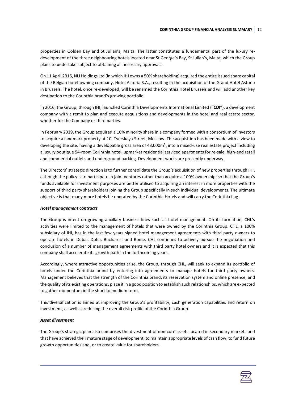properties in Golden Bay and St Julian's, Malta. The latter constitutes a fundamental part of the luxury redevelopment of the three neighbouring hotels located near St George's Bay, St Julian's, Malta, which the Group plans to undertake subject to obtaining all necessary approvals.

On 11 April 2016, NLI Holdings Ltd (in which IHI owns a 50% shareholding) acquired the entire issued share capital of the Belgian hotel-owning company, Hotel Astoria S.A., resulting in the acquisition of the Grand Hotel Astoria in Brussels. The hotel, once re-developed, will be renamed the Corinthia Hotel Brussels and will add another key destination to the Corinthia brand's growing portfolio.

In 2016, the Group, through IHI, launched Corinthia Developments International Limited ("**CDI**"), a development company with a remit to plan and execute acquisitions and developments in the hotel and real estate sector, whether for the Company or third parties.

In February 2019, the Group acquired a 10% minority share in a company formed with a consortium of investors to acquire a landmark property at 10, Tverskaya Street, Moscow. The acquisition has been made with a view to developing the site, having a developable gross area of 43,000 $m^2$ , into a mixed-use real estate project including a luxury boutique 54-room Corinthia hotel, upmarket residential serviced apartments for re-sale, high-end retail and commercial outlets and underground parking. Development works are presently underway.

The Directors' strategic direction is to further consolidate the Group's acquisition of new properties through IHI, although the policy is to participate in joint ventures rather than acquire a 100% ownership, so that the Group's funds available for investment purposes are better utilised to acquiring an interest in more properties with the support of third party shareholders joining the Group specifically in such individual developments. The ultimate objective is that many more hotels be operated by the Corinthia Hotels and will carry the Corinthia flag.

#### *Hotel management contracts*

The Group is intent on growing ancillary business lines such as hotel management. On its formation, CHL's activities were limited to the management of hotels that were owned by the Corinthia Group. CHL, a 100% subsidiary of IHI, has in the last few years signed hotel management agreements with third party owners to operate hotels in Dubai, Doha, Bucharest and Rome. CHL continues to actively pursue the negotiation and conclusion of a number of management agreements with third party hotel owners and it is expected that this company shall accelerate its growth path in the forthcoming years.

Accordingly, where attractive opportunities arise, the Group, through CHL, will seek to expand its portfolio of hotels under the Corinthia brand by entering into agreements to manage hotels for third party owners. Management believes that the strength of the Corinthia brand, its reservation system and online presence, and the quality of its existing operations, place it in a good position to establish such relationships, which are expected to gather momentum in the short to medium term.

This diversification is aimed at improving the Group's profitability, cash generation capabilities and return on investment, as well as reducing the overall risk profile of the Corinthia Group.

#### *Asset divestment*

The Group's strategic plan also comprises the divestment of non-core assets located in secondary markets and that have achieved their mature stage of development, to maintain appropriate levels of cash flow, to fund future growth opportunities and, or to create value for shareholders.

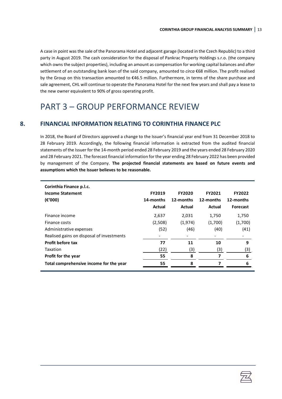A case in point was the sale of the Panorama Hotel and adjacent garage (located in the Czech Republic) to a third party in August 2019. The cash consideration for the disposal of Pankrac Property Holdings s.r.o. (the company which owns the subject properties), including an amount as compensation for working capital balances and after settlement of an outstanding bank loan of the said company, amounted to *circa* €68 million. The profit realised by the Group on this transaction amounted to €46.5 million. Furthermore, in terms of the share purchase and sale agreement, CHL will continue to operate the Panorama Hotel for the next few years and shall pay a lease to the new owner equivalent to 90% of gross operating profit.

# <span id="page-15-0"></span>PART 3 – GROUP PERFORMANCE REVIEW

## **8. FINANCIAL INFORMATION RELATING TO CORINTHIA FINANCE PLC**

<span id="page-15-1"></span>In 2018, the Board of Directors approved a change to the Issuer's financial year end from 31 December 2018 to 28 February 2019. Accordingly, the following financial information is extracted from the audited financial statements of the Issuer for the 14-month period ended 28 February 2019 and the years ended 28 February 2020 and 28 February 2021. The forecast financial information for the year ending 28 February 2022 has been provided by management of the Company. **The projected financial statements are based on future events and assumptions which the Issuer believes to be reasonable.** 

| Corinthia Finance p.l.c.                  |               |               |           |                 |  |  |  |
|-------------------------------------------|---------------|---------------|-----------|-----------------|--|--|--|
| <b>Income Statement</b>                   | <b>FY2019</b> | <b>FY2020</b> | FY2021    | <b>FY2022</b>   |  |  |  |
| $(\epsilon'000)$                          | 14-months     | 12-months     | 12-months | 12-months       |  |  |  |
|                                           | Actual        | Actual        | Actual    | <b>Forecast</b> |  |  |  |
| Finance income                            | 2,637         | 2,031         | 1,750     | 1,750           |  |  |  |
| Finance costs                             | (2,508)       | (1, 974)      | (1,700)   | (1,700)         |  |  |  |
| Administrative expenses                   | (52)          | (46)          | (40)      | (41)            |  |  |  |
| Realised gains on disposal of investments |               |               |           |                 |  |  |  |
| Profit before tax                         | 77            | 11            | 10        | 9               |  |  |  |
| Taxation                                  | (22)          | (3)           | (3)       | (3)             |  |  |  |
| Profit for the year                       | 55            | 8             |           | 6               |  |  |  |
| Total comprehensive income for the year   | 55            | 8             |           | 6               |  |  |  |

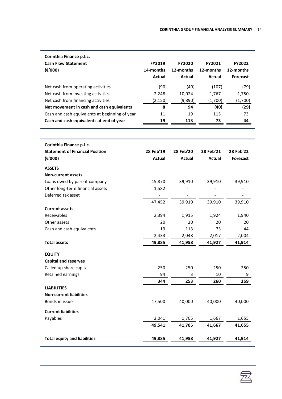| Corinthia Finance p.l.c.                       |               |               |               |                 |
|------------------------------------------------|---------------|---------------|---------------|-----------------|
| <b>Cash Flow Statement</b>                     | FY2019        | <b>FY2020</b> | FY2021        | FY2022          |
| $(\epsilon'000)$                               | 14-months     | 12-months     | 12-months     | 12-months       |
|                                                | <b>Actual</b> | <b>Actual</b> | <b>Actual</b> | Forecast        |
| Net cash from operating activities             | (90)          | (40)          | (107)         | (79)            |
| Net cash from investing activities             | 2,248         | 10,024        | 1,767         | 1,750           |
| Net cash from financing activities             | (2, 150)      | (9,890)       | (1,700)       | (1,700)         |
| Net movement in cash and cash equivalents      | 8             | 94            | (40)          | (29)            |
| Cash and cash equivalents at beginning of year | 11            | 19            | 113           | 73              |
| Cash and cash equivalents at end of year       | 19            | 113           | 73            | 44              |
|                                                |               |               |               |                 |
| Corinthia Finance p.l.c.                       |               |               |               |                 |
| <b>Statement of Financial Position</b>         | 28 Feb'19     | 28 Feb'20     | 28 Feb'21     | 28 Feb'22       |
| (E'000)                                        | <b>Actual</b> | Actual        | <b>Actual</b> | <b>Forecast</b> |
| <b>ASSETS</b>                                  |               |               |               |                 |
| <b>Non-current assets</b>                      |               |               |               |                 |
| Loans owed by parent company                   | 45,870        | 39,910        | 39,910        | 39,910          |
| Other long-term financial assets               | 1,582         |               |               |                 |
| Deferred tax asset                             |               |               |               |                 |
|                                                | 47,452        | 39,910        | 39,910        | 39,910          |
| <b>Current assets</b>                          |               |               |               |                 |
| Receivables                                    | 2,394         | 1,915         | 1,924         | 1,940           |
| Other assets                                   | 20            | 20            | 20            | 20              |
| Cash and cash equivalents                      | 19            | 113           | 73            | 44              |
|                                                | 2,433         | 2,048         | 2,017         | 2,004           |
| <b>Total assets</b>                            | 49,885        | 41,958        | 41,927        | 41,914          |
| <b>EQUITY</b>                                  |               |               |               |                 |
| <b>Capital and reserves</b>                    |               |               |               |                 |
| Called up share capital                        | 250           | 250           | 250           | 250             |
| Retained earnings                              | 94            | 3             | 10            | 9               |
|                                                | 344           | 253           | 260           | 259             |
| <b>LIABILITIES</b>                             |               |               |               |                 |
| <b>Non-current liabilities</b>                 |               |               |               |                 |
| Bonds in issue                                 | 47,500        | 40,000        | 40,000        | 40,000          |
| <b>Current liabilities</b>                     |               |               |               |                 |
| Payables                                       | 2,041         | 1,705         | 1,667         | 1,655           |
|                                                | 49,541        | 41,705        | 41,667        | 41,655          |
| <b>Total equity and liabilities</b>            | 49,885        | 41,958        | 41,927        | 41,914          |
|                                                |               |               |               |                 |

丞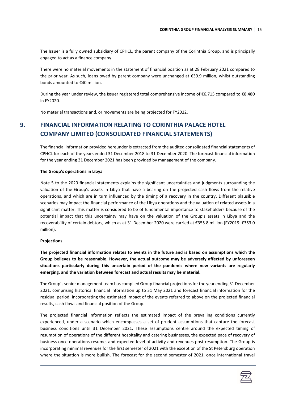The Issuer is a fully owned subsidiary of CPHCL, the parent company of the Corinthia Group, and is principally engaged to act as a finance company.

There were no material movements in the statement of financial position as at 28 February 2021 compared to the prior year. As such, loans owed by parent company were unchanged at €39.9 million, whilst outstanding bonds amounted to €40 million.

During the year under review, the Issuer registered total comprehensive income of €6,715 compared to €8,480 in FY2020.

<span id="page-17-0"></span>No material transactions and, or movements are being projected for FY2022.

# **9. FINANCIAL INFORMATION RELATING TO CORINTHIA PALACE HOTEL COMPANY LIMITED (CONSOLIDATED FINANCIAL STATEMENTS)**

The financial information provided hereunder is extracted from the audited consolidated financial statements of CPHCL for each of the years ended 31 December 2018 to 31 December 2020. The forecast financial information for the year ending 31 December 2021 has been provided by management of the company.

#### **The Group's operations in Libya**

Note 5 to the 2020 financial statements explains the significant uncertainties and judgments surrounding the valuation of the Group's assets in Libya that have a bearing on the projected cash flows from the relative operations, and which are in turn influenced by the timing of a recovery in the country. Different plausible scenarios may impact the financial performance of the Libya operations and the valuation of related assets in a significant matter. This matter is considered to be of fundamental importance to stakeholders because of the potential impact that this uncertainty may have on the valuation of the Group's assets in Libya and the recoverability of certain debtors, which as at 31 December 2020 were carried at €355.8 million (FY2019: €353.0 million).

#### **Projections**

**The projected financial information relates to events in the future and is based on assumptions which the Group believes to be reasonable. However, the actual outcome may be adversely affected by unforeseen situations particularly during this uncertain period of the pandemic where new variants are regularly emerging, and the variation between forecast and actual results may be material.**

The Group's senior management team has compiled Group financial projections for the year ending 31 December 2021, comprising historical financial information up to 31 May 2021 and forecast financial information for the residual period, incorporating the estimated impact of the events referred to above on the projected financial results, cash flows and financial position of the Group.

The projected financial information reflects the estimated impact of the prevailing conditions currently experienced, under a scenario which encompasses a set of prudent assumptions that capture the forecast business conditions until 31 December 2021. These assumptions centre around the expected timing of resumption of operations of the different hospitality and catering businesses, the expected pace of recovery of business once operations resume, and expected level of activity and revenues post resumption. The Group is incorporating minimal revenues for the first semester of 2021 with the exception of the St Petersburg operation where the situation is more bullish. The forecast for the second semester of 2021, once international travel

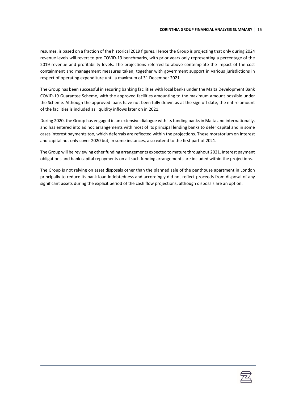resumes, is based on a fraction of the historical 2019 figures. Hence the Group is projecting that only during 2024 revenue levels will revert to pre COVID-19 benchmarks, with prior years only representing a percentage of the 2019 revenue and profitability levels. The projections referred to above contemplate the impact of the cost containment and management measures taken, together with government support in various jurisdictions in respect of operating expenditure until a maximum of 31 December 2021.

The Group has been successful in securing banking facilities with local banks under the Malta Development Bank COVID-19 Guarantee Scheme, with the approved facilities amounting to the maximum amount possible under the Scheme. Although the approved loans have not been fully drawn as at the sign off date, the entire amount of the facilities is included as liquidity inflows later on in 2021.

During 2020, the Group has engaged in an extensive dialogue with its funding banks in Malta and internationally, and has entered into ad hoc arrangements with most of its principal lending banks to defer capital and in some cases interest payments too, which deferrals are reflected within the projections. These moratorium on interest and capital not only cover 2020 but, in some instances, also extend to the first part of 2021.

The Group will be reviewing other funding arrangements expected to mature throughout 2021. Interest payment obligations and bank capital repayments on all such funding arrangements are included within the projections.

The Group is not relying on asset disposals other than the planned sale of the penthouse apartment in London principally to reduce its bank loan indebtedness and accordingly did not reflect proceeds from disposal of any significant assets during the explicit period of the cash flow projections, although disposals are an option.

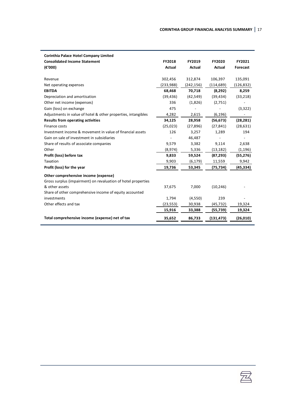| Corinthia Palace Hotel Company Limited                        |               |               |               |            |
|---------------------------------------------------------------|---------------|---------------|---------------|------------|
| <b>Consolidated Income Statement</b>                          | <b>FY2018</b> | FY2019        | <b>FY2020</b> | FY2021     |
| (E'000)                                                       | <b>Actual</b> | <b>Actual</b> | <b>Actual</b> | Forecast   |
|                                                               |               |               |               |            |
| Revenue                                                       | 302,456       | 312,874       | 106,397       | 135,091    |
| Net operating expenses                                        | (233,988)     | (242, 156)    | (114, 689)    | (126, 832) |
| <b>EBITDA</b>                                                 | 68,468        | 70,718        | (8,292)       | 8,259      |
| Depreciation and amortisation                                 | (39, 436)     | (42, 549)     | (39, 434)     | (33, 218)  |
| Other net income (expenses)                                   | 336           | (1,826)       | (2,751)       |            |
| Gain (loss) on exchange                                       | 475           |               |               | (3,322)    |
| Adjustments in value of hotel & other properties, intangibles | 4,282         | 2,615         | (6, 196)      |            |
| <b>Results from operating activities</b>                      | 34,125        | 28,958        | (56, 673)     | (28, 281)  |
| Finance costs                                                 | (25,023)      | (27, 896)     | (27, 841)     | (28, 631)  |
| Investment income & movement in value of financial assets     | 126           | 3,257         | 1,289         | 194        |
| Gain on sale of investment in subsidiaries                    |               | 46,487        |               |            |
| Share of results of associate companies                       | 9,579         | 3,382         | 9,114         | 2,638      |
| Other                                                         | (8,974)       | 5,336         | (13, 182)     | (1, 196)   |
| Profit (loss) before tax                                      | 9,833         | 59,524        | (87, 293)     | (55, 276)  |
| Taxation                                                      | 9,903         | (6, 179)      | 11,559        | 9,942      |
| Profit (loss) for the year                                    | 19,736        | 53,345        | (75, 734)     | (45,334)   |
| Other comprehensive income (expense)                          |               |               |               |            |
| Gross surplus (impairment) on revaluation of hotel properties |               |               |               |            |
| & other assets                                                | 37,675        | 7,000         | (10, 246)     |            |
| Share of other comprehensive income of equity accounted       |               |               |               |            |
| investments                                                   | 1,794         | (4,550)       | 239           |            |
| Other effects and tax                                         | (23, 553)     | 30,938        | (45, 732)     | 19,324     |
|                                                               | 15,916        | 33,388        | (55, 739)     | 19,324     |
| Total comprehensive income (expense) net of tax               | 35,652        | 86,733        | (131, 473)    | (26, 010)  |
|                                                               |               |               |               |            |

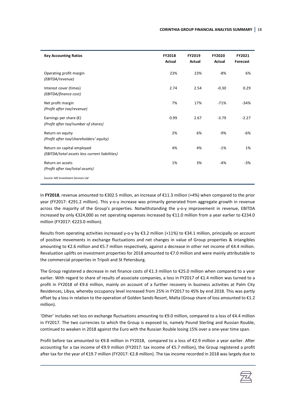| <b>Key Accounting Ratios</b>                                                 | <b>FY2018</b><br><b>Actual</b> | FY2019<br><b>Actual</b> | <b>FY2020</b><br><b>Actual</b> | FY2021<br>Forecast |
|------------------------------------------------------------------------------|--------------------------------|-------------------------|--------------------------------|--------------------|
| Operating profit margin<br>(EBITDA/revenue)                                  | 23%                            | 23%                     | $-8%$                          | 6%                 |
| Interest cover (times)<br>(EBITDA/finance cost)                              | 2.74                           | 2.54                    | $-0.30$                        | 0.29               |
| Net profit margin<br>(Profit after tax/revenue)                              | 7%                             | 17%                     | $-71%$                         | $-34%$             |
| Earnings per share $(\epsilon)$<br>(Profit after tax/number of shares)       | 0.99                           | 2.67                    | $-3.79$                        | $-2.27$            |
| Return on equity<br>(Profit after tax/shareholders' equity)                  | 2%                             | 6%                      | $-9%$                          | -6%                |
| Return on capital employed<br>(EBITDA/total assets less current liabilities) | 4%                             | 4%                      | $-1%$                          | 1%                 |
| Return on assets<br>(Profit after tax/total assets)                          | 1%                             | 3%                      | $-4%$                          | $-3%$              |
| Source: MZ Investment Services Ltd                                           |                                |                         |                                |                    |

In **FY2018**, revenue amounted to €302.5 million, an increase of €11.3 million (+4%) when compared to the prior year (FY2017: €291.2 million). This y-o-y increase was primarily generated from aggregate growth in revenue across the majority of the Group's properties. Notwithstanding the y-o-y improvement in revenue, EBITDA increased by only €324,000 as net operating expenses increased by €11.0 million from a year earlier to €234.0 million (FY2017: €223.0 million).

Results from operating activities increased y-o-y by €3.2 million (+11%) to €34.1 million, principally on account of positive movements in exchange fluctuations and net changes in value of Group properties & intangibles amounting to €2.6 million and €5.7 million respectively, against a decrease in other net income of €4.4 million. Revaluation uplifts on investment properties for 2018 amounted to €7.0 million and were mainly attributable to the commercial properties in Tripoli and St Petersburg.

The Group registered a decrease in net finance costs of €1.3 million to €25.0 million when compared to a year earlier. With regard to share of results of associate companies, a loss in FY2017 of €1.4 million was turned to a profit in FY2018 of €9.6 million, mainly on account of a further recovery in business activities at Palm City Residences, Libya, whereby occupancy level increased from 25% in FY2017 to 45% by end 2018. This was partly offset by a loss in relation to the operation of Golden Sands Resort, Malta (Group share of loss amounted to €1.2 million).

'Other' includes net loss on exchange fluctuations amounting to €9.0 million, compared to a loss of €4.4 million in FY2017. The two currencies to which the Group is exposed to, namely Pound Sterling and Russian Rouble, continued to weaken in 2018 against the Euro with the Russian Rouble losing 15% over a one-year time span.

Profit before tax amounted to €9.8 million in FY2018, compared to a loss of €2.9 million a year earlier. After accounting for a tax income of €9.9 million (FY2017: tax income of €5.7 million), the Group registered a profit after tax for the year of €19.7 million (FY2017: €2.8 million). The tax income recorded in 2018 was largely due to

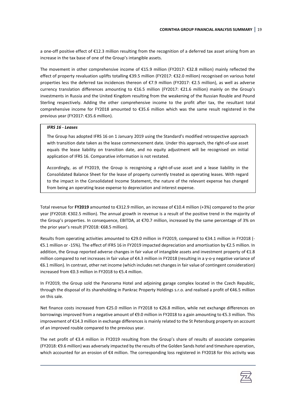a one-off positive effect of €12.3 million resulting from the recognition of a deferred tax asset arising from an increase in the tax base of one of the Group's intangible assets.

The movement in other comprehensive income of €15.9 million (FY2017: €32.8 million) mainly reflected the effect of property revaluation uplifts totalling €39.5 million (FY2017: €32.0 million) recognised on various hotel properties less the deferred tax incidences thereon of €7.9 million (FY2017: €2.5 million), as well as adverse currency translation differences amounting to €16.5 million (FY2017: €21.6 million) mainly on the Group's investments in Russia and the United Kingdom resulting from the weakening of the Russian Rouble and Pound Sterling respectively. Adding the other comprehensive income to the profit after tax, the resultant total comprehensive income for FY2018 amounted to €35.6 million which was the same result registered in the previous year (FY2017: €35.6 million).

#### *IFRS 16 - Leases*

The Group has adopted IFRS 16 on 1 January 2019 using the Standard's modified retrospective approach with transition date taken as the lease commencement date. Under this approach, the right-of-use asset equals the lease liability on transition date, and no equity adjustment will be recognised on initial application of IFRS 16. Comparative information is not restated.

Accordingly, as of FY2019, the Group is recognising a right-of-use asset and a lease liability in the Consolidated Balance Sheet for the lease of property currently treated as operating leases. With regard to the impact in the Consolidated Income Statement, the nature of the relevant expense has changed from being an operating lease expense to depreciation and interest expense.

Total revenue for **FY2019** amounted to €312.9 million, an increase of €10.4 million (+3%) compared to the prior year (FY2018: €302.5 million). The annual growth in revenue is a result of the positive trend in the majority of the Group's properties. In consequence, EBITDA, at €70.7 million, increased by the same percentage of 3% on the prior year's result (FY2018: €68.5 million).

Results from operating activities amounted to €29.0 million in FY2019, compared to €34.1 million in FY2018 (- €5.1 million or -15%). The effect of IFRS 16 in FY2019 impacted depreciation and amortisation by €2.5 million. In addition, the Group reported adverse changes in fair value of intangible assets and investment property of €1.8 million compared to net increases in fair value of €4.3 million in FY2018 (resulting in a y-o-y negative variance of €6.1 million). In contrast, other net income (which includes net changes in fair value of contingent consideration) increased from €0.3 million in FY2018 to €5.4 million.

In FY2019, the Group sold the Panorama Hotel and adjoining garage complex located in the Czech Republic, through the disposal of its shareholding in Pankrac Property Holdings s.r.o. and realised a profit of €46.5 million on this sale.

Net finance costs increased from €25.0 million in FY2018 to €26.8 million, while net exchange differences on borrowings improved from a negative amount of €9.0 million in FY2018 to a gain amounting to €5.3 million. This improvement of €14.3 million in exchange differences is mainly related to the St Petersburg property on account of an improved rouble compared to the previous year.

The net profit of €3.4 million in FY2019 resulting from the Group's share of results of associate companies (FY2018: €9.6 million) was adversely impacted by the results of the Golden Sands hotel and timeshare operation, which accounted for an erosion of €4 million. The corresponding loss registered in FY2018 for this activity was

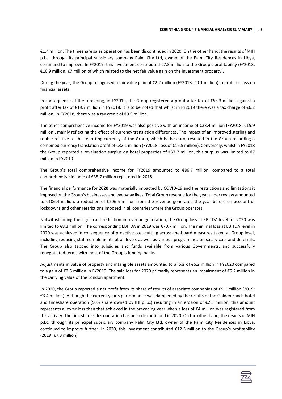€1.4 million. The timeshare sales operation has been discontinued in 2020. On the other hand, the results of MIH p.l.c. through its principal subsidiary company Palm City Ltd, owner of the Palm City Residences in Libya, continued to improve. In FY2019, this investment contributed €7.3 million to the Group's profitability (FY2018: €10.9 million, €7 million of which related to the net fair value gain on the investment property).

During the year, the Group recognised a fair value gain of €2.2 million (FY2018: €0.1 million) in profit or loss on financial assets.

In consequence of the foregoing, in FY2019, the Group registered a profit after tax of €53.3 million against a profit after tax of €19.7 million in FY2018. It is to be noted that whilst in FY2019 there was a tax charge of €6.2 million, in FY2018, there was a tax credit of €9.9 million.

The other comprehensive income for FY2019 was also positive with an income of €33.4 million (FY2018: €15.9 million), mainly reflecting the effect of currency translation differences. The impact of an improved sterling and rouble relative to the reporting currency of the Group, which is the euro, resulted in the Group recording a combined currency translation profit of €32.1 million (FY2018: loss of €16.5 million). Conversely, whilst in FY2018 the Group reported a revaluation surplus on hotel properties of €37.7 million, this surplus was limited to €7 million in FY2019.

The Group's total comprehensive income for FY2019 amounted to €86.7 million, compared to a total comprehensive income of €35.7 million registered in 2018.

The financial performance for **2020** was materially impacted by COVID-19 and the restrictions and limitations it imposed on the Group's businesses and everyday lives. Total Group revenue for the year under review amounted to €106.4 million, a reduction of €206.5 million from the revenue generated the year before on account of lockdowns and other restrictions imposed in all countries where the Group operates.

Notwithstanding the significant reduction in revenue generation, the Group loss at EBITDA level for 2020 was limited to €8.3 million. The corresponding EBITDA in 2019 was €70.7 million. The minimal loss at EBITDA level in 2020 was achieved in consequence of proactive cost-cutting across-the-board measures taken at Group level, including reducing staff complements at all levels as well as various programmes on salary cuts and deferrals. The Group also tapped into subsidies and funds available from various Governments, and successfully renegotiated terms with most of the Group's funding banks.

Adjustments in value of property and intangible assets amounted to a loss of €6.2 million in FY2020 compared to a gain of €2.6 million in FY2019. The said loss for 2020 primarily represents an impairment of €5.2 million in the carrying value of the London apartment.

In 2020, the Group reported a net profit from its share of results of associate companies of €9.1 million (2019: €3.4 million). Although the current year's performance was dampened by the results of the Golden Sands hotel and timeshare operation (50% share owned by IHI p.l.c.) resulting in an erosion of €2.5 million, this amount represents a lower loss than that achieved in the preceding year when a loss of €4 million was registered from this activity. The timeshare sales operation has been discontinued in 2020. On the other hand, the results of MIH p.l.c. through its principal subsidiary company Palm City Ltd, owner of the Palm City Residences in Libya, continued to improve further. In 2020, this investment contributed €12.5 million to the Group's profitability (2019: €7.3 million).

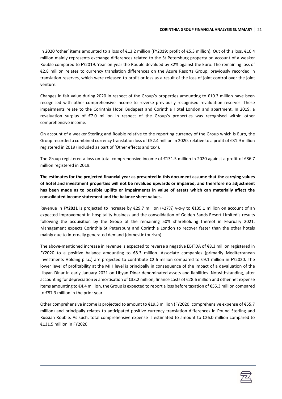In 2020 'other' items amounted to a loss of €13.2 million (FY2019: profit of €5.3 million). Out of this loss, €10.4 million mainly represents exchange differences related to the St Petersburg property on account of a weaker Rouble compared to FY2019. Year-on-year the Rouble devalued by 32% against the Euro. The remaining loss of €2.8 million relates to currency translation differences on the Azure Resorts Group, previously recorded in translation reserves, which were released to profit or loss as a result of the loss of joint control over the joint venture.

Changes in fair value during 2020 in respect of the Group's properties amounting to €10.3 million have been recognised with other comprehensive income to reverse previously recognised revaluation reserves. These impairments relate to the Corinthia Hotel Budapest and Corinthia Hotel London and apartment. In 2019, a revaluation surplus of €7.0 million in respect of the Group's properties was recognised within other comprehensive income.

On account of a weaker Sterling and Rouble relative to the reporting currency of the Group which is Euro, the Group recorded a combined currency translation loss of €52.4 million in 2020, relative to a profit of €31.9 million registered in 2019 (included as part of 'Other effects and tax').

The Group registered a loss on total comprehensive income of €131.5 million in 2020 against a profit of €86.7 million registered in 2019.

**The estimates for the projected financial year as presented in this document assume that the carrying values of hotel and investment properties will not be revalued upwards or impaired, and therefore no adjustment has been made as to possible uplifts or impairments in value of assets which can materially affect the consolidated income statement and the balance sheet values.**

Revenue in **FY2021** is projected to increase by €29.7 million (+27%) y-o-y to €135.1 million on account of an expected improvement in hospitality business and the consolidation of Golden Sands Resort Limited's results following the acquisition by the Group of the remaining 50% shareholding thereof in February 2021. Management expects Corinthia St Petersburg and Corinthia London to recover faster than the other hotels mainly due to internally generated demand (domestic tourism).

The above-mentioned increase in revenue is expected to reverse a negative EBITDA of €8.3 million registered in FY2020 to a positive balance amounting to €8.3 million. Associate companies (primarily Mediterranean Investments Holding p.l.c.) are projected to contribute €2.6 million compared to €9.1 million in FY2020. The lower level of profitability at the MIH level is principally in consequence of the impact of a devaluation of the Libyan Dinar in early January 2021 on Libyan Dinar denominated assets and liabilities. Notwithstanding, after accounting for depreciation & amortisation of €33.2 million, finance costs of €28.6 million and other net expense items amounting to €4.4 million, the Group is expected to report a loss before taxation of €55.3 million compared to €87.3 million in the prior year.

Other comprehensive income is projected to amount to €19.3 million (FY2020: comprehensive expense of €55.7 million) and principally relates to anticipated positive currency translation differences in Pound Sterling and Russian Rouble. As such, total comprehensive expense is estimated to amount to €26.0 million compared to €131.5 million in FY2020.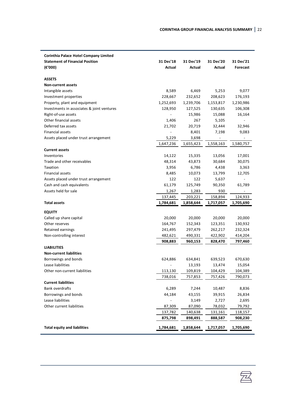| <b>Corinthia Palace Hotel Company Limited</b>  |                 |                   |           |                   |
|------------------------------------------------|-----------------|-------------------|-----------|-------------------|
| <b>Statement of Financial Position</b>         | 31 Dec'18       | 31 Dec'19         | 31 Dec'20 | 31 Dec'21         |
| (€'000)                                        | Actual          | Actual            | Actual    | Forecast          |
|                                                |                 |                   |           |                   |
| <b>ASSETS</b>                                  |                 |                   |           |                   |
| <b>Non-current assets</b>                      |                 |                   |           |                   |
| Intangible assets                              | 8,589           | 6,469             | 5,253     | 9,077             |
| Investment properties                          | 228,667         | 232,652           | 208,623   | 176,193           |
| Property, plant and equipment                  | 1,252,693       | 1,239,706         | 1,153,817 | 1,230,986         |
| Investments in associates & joint ventures     | 128,950         | 127,525           | 130,635   | 106,308           |
| Right-of-use assets                            |                 | 15,986            | 15,088    | 16,164            |
| Other financial assets                         | 1,406           | 267               | 5,105     |                   |
| Deferred tax assets                            | 21,702          | 20,719            | 32,444    | 32,946            |
| Financial assets                               |                 | 8,401             | 7,198     | 9,083             |
| Assets placed under trust arrangement          | 5,229           | 3,698             |           |                   |
|                                                | 1,647,236       | 1,655,423         | 1,558,163 | 1,580,757         |
| <b>Current assets</b>                          |                 |                   |           |                   |
| Inventories                                    | 14,122          | 15,335            | 13,056    | 17,001            |
| Trade and other receivables                    | 48,314          | 43,873            | 30,684    | 30,075            |
| Taxation                                       | 3,956           | 6,786             | 4,438     | 3,363             |
| Financial assets                               | 8,485           | 10,073            | 13,799    | 12,705            |
| Assets placed under trust arrangement          | 122             | 122               | 5,637     |                   |
| Cash and cash equivalents                      | 61,179          | 125,749           | 90,350    | 61,789            |
| Assets held for sale                           | 1,267           | 1,283             | 930       |                   |
|                                                | 137,445         | 203,221           | 158,894   | 124,933           |
| <b>Total assets</b>                            | 1,784,681       | 1,858,644         | 1,717,057 | 1,705,690         |
| <b>EQUITY</b>                                  |                 |                   |           |                   |
| Called up share capital                        | 20,000          | 20,000            | 20,000    | 20,000            |
|                                                |                 |                   |           |                   |
| Other reserves                                 | 164,767         | 152,343           | 123,351   | 130,932           |
| Retained earnings                              | 241,495         | 297,479           | 262,217   | 232,324           |
| Non-controlling interest                       | 482,621         | 490,331           | 422,902   | 414,204           |
| <b>LIABILITIES</b>                             | 908,883         | 960,153           | 828,470   | 797,460           |
| <b>Non-current liabilities</b>                 |                 |                   |           |                   |
| Borrowings and bonds                           | 624,886         |                   | 639,523   |                   |
| Lease liabilities                              |                 | 634,841<br>13,193 | 13,474    | 670,630<br>15,054 |
|                                                |                 |                   |           |                   |
| Other non-current liabilities                  | 113,130         | 109,819           | 104,429   | 104,389           |
| <b>Current liabilities</b>                     | 738,016         | 757,853           | 757,426   | 790,073           |
| <b>Bank overdrafts</b>                         |                 |                   |           | 8,836             |
| Borrowings and bonds                           | 6,289<br>44,184 | 7,244             | 10,487    |                   |
|                                                |                 | 43,155            | 39,915    | 26,834            |
| Lease liabilities<br>Other current liabilities |                 | 3,149             | 2,727     | 2,695             |
|                                                | 87,309          | 87,090            | 78,032    | 79,792            |
|                                                | 137,782         | 140,638           | 131,161   | 118,157           |
|                                                | 875,798         | 898,491           | 888,587   | 908,230           |
| <b>Total equity and liabilities</b>            | 1,784,681       | 1,858,644         | 1,717,057 | 1,705,690         |

容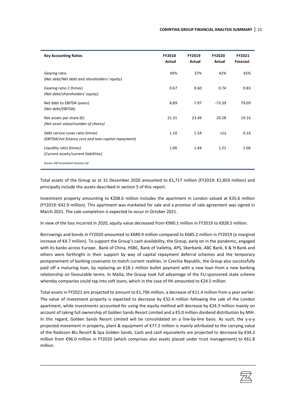| <b>Key Accounting Ratios</b>                                                             | <b>FY2018</b><br>Actual | FY2019<br>Actual | <b>FY2020</b><br>Actual | FY2021<br>Forecast |
|------------------------------------------------------------------------------------------|-------------------------|------------------|-------------------------|--------------------|
| Gearing ratio<br>(Net debt/Net debt and shareholders' equity)                            | 40%                     | 37%              | 42%                     | 45%                |
| Gearing ratio 2 (times)<br>(Net debt/shareholders' equity)                               | 0.67                    | 0.60             | 0.74                    | 0.83               |
| Net debt to EBITDA (years)<br>(Net debt/EBITDA)                                          | 8.89                    | 7.97             | $-73.39$                | 79.09              |
| Net assets per share $(\epsilon)$<br>(Net asset value/number of shares)                  | 21.31                   | 23.49            | 20.28                   | 19.16              |
| Debt service cover ratio (times)<br>(EBITDA/net finance cost and loan capital repayment) | 1.10                    | 1.54             | n/a                     | 0.16               |
| Liquidity ratio (times)<br>(Current assets/current liabilities)                          | 1.00                    | 1.44             | 1.21                    | 1.06               |
| Source: MZ Investment Services Ltd                                                       |                         |                  |                         |                    |

Total assets of the Group as at 31 December 2020 amounted to €1,717 million (FY2019: €1,859 million) and principally include the assets described in section 5 of this report.

Investment property amounting to €208.6 million includes the apartment in London valued at €35.6 million (FY2019: €42.9 million). This apartment was marketed for sale and a promise of sale agreement was signed in March 2021. The sale completion is expected to occur in October 2021.

In view of the loss incurred in 2020, equity value decreased from €960.1 million in FY2019 to €828.5 million.

Borrowings and bonds in FY2020 amounted to €689.9 million compared to €685.2 million in FY2019 (a marginal increase of €4.7 million). To support the Group's cash availability, the Group, early on in the pandemic, engaged with its banks across Europe. Bank of China, HSBC, Bank of Valletta, APS, Sberbank, ABC Bank, K & H Bank and others were forthright in their support by way of capital repayment deferral schemes and the temporary postponement of banking covenants to match current realities. In Czechia Republic, the Group also successfully paid off a maturing loan, by replacing an €18.1 million bullet payment with a new loan from a new banking relationship on favourable terms. In Malta, the Group took full advantage of the EU-sponsored state scheme whereby companies could tap into soft loans, which in the case of IHI amounted to €24.5 million.

Total assets in FY2021 are projected to amount to €1,706 million, a decrease of €11.4 million from a year earlier. The value of investment property is expected to decrease by €32.4 million following the sale of the London apartment, while investments accounted for using the equity method will decrease by €24.3 million mainly on account of taking full ownership of Golden Sands Resort Limited and a €5.0 million dividend distribution by MIH. In this regard, Golden Sands Resort Limited will be consolidated on a line-by-line basis. As such, the y-o-y projected movement in property, plant & equipment of €77.2 million is mainly attributed to the carrying value of the Radisson Blu Resort & Spa Golden Sands. Cash and cash equivalents are projected to decrease by €34.2 million from €96.0 million in FY2020 (which comprises also assets placed under trust management) to €61.8 million.

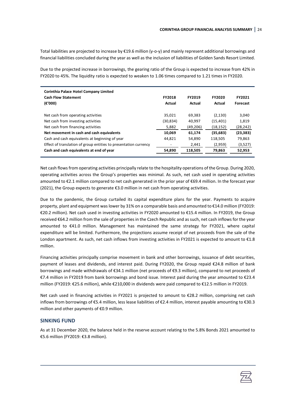Total liabilities are projected to increase by €19.6 million (y-o-y) and mainly represent additional borrowings and financial liabilities concluded during the year as well as the inclusion of liabilities of Golden Sands Resort Limited.

Due to the projected increase in borrowings, the gearing ratio of the Group is expected to increase from 42% in FY2020 to 45%. The liquidity ratio is expected to weaken to 1.06 times compared to 1.21 times in FY2020.

| Corinthia Palace Hotel Company Limited<br><b>Cash Flow Statement</b><br>(€'000) | <b>FY2018</b><br>Actual  | <b>FY2019</b><br>Actual | <b>FY2020</b><br>Actual | FY2021<br>Forecast |
|---------------------------------------------------------------------------------|--------------------------|-------------------------|-------------------------|--------------------|
| Net cash from operating activities                                              | 35,021                   | 69,383                  | (2, 130)                | 3,040              |
| Net cash from investing activities                                              | (30, 834)                | 40,997                  | (15, 401)               | 1,819              |
| Net cash from financing activities                                              | 5,882                    | (49, 206)               | (18, 152)               | (28, 242)          |
| Net movement in cash and cash equivalents                                       | 10,069                   | 61,174                  | (35,683)                | (23, 383)          |
| Cash and cash equivalents at beginning of year                                  | 44.821                   | 54,890                  | 118,505                 | 79,863             |
| Effect of translation of group entities to presentation currency                | $\overline{\phantom{a}}$ | 2,441                   | (2,959)                 | (3,527)            |
| Cash and cash equivalents at end of year                                        | 54,890                   | 118,505                 | 79,863                  | 52,953             |

Net cash flows from operating activities principally relate to the hospitality operations of the Group. During 2020, operating activities across the Group's properties was minimal. As such, net cash used in operating activities amounted to €2.1 million compared to net cash generated in the prior year of €69.4 million. In the forecast year (2021), the Group expects to generate €3.0 million in net cash from operating activities.

Due to the pandemic, the Group curtailed its capital expenditure plans for the year. Payments to acquire property, plant and equipment was lower by 31% on a comparable basis and amounted to €14.0 million (FY2019: €20.2 million). Net cash used in investing activities in FY2020 amounted to €15.4 million. In FY2019, the Group received €64.2 million from the sale of properties in the Czech Republic and as such, net cash inflows for the year amounted to €41.0 million. Management has maintained the same strategy for FY2021, where capital expenditure will be limited. Furthermore, the projections assume receipt of net proceeds from the sale of the London apartment. As such, net cash inflows from investing activities in FY2021 is expected to amount to €1.8 million.

Financing activities principally comprise movement in bank and other borrowings, issuance of debt securities, payment of leases and dividends, and interest paid. During FY2020, the Group repaid €24.8 million of bank borrowings and made withdrawals of €34.1 million (net proceeds of €9.3 million), compared to net proceeds of €7.4 million in FY2019 from bank borrowings and bond issue. Interest paid during the year amounted to €23.4 million (FY2019: €25.6 million), while €210,000 in dividends were paid compared to €12.5 million in FY2019.

Net cash used in financing activities in FY2021 is projected to amount to €28.2 million, comprising net cash inflows from borrowings of €5.4 million, less lease liabilities of €2.4 million, interest payable amounting to €30.3 million and other payments of €0.9 million.

### **SINKING FUND**

As at 31 December 2020, the balance held in the reserve account relating to the 5.8% Bonds 2021 amounted to €5.6 million (FY2019: €3.8 million).

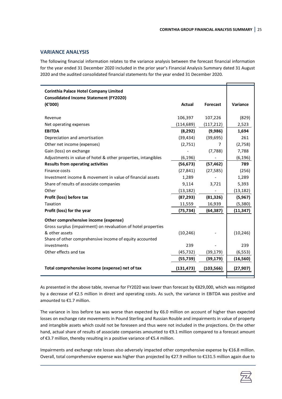#### **VARIANCE ANALYSIS**

The following financial information relates to the variance analysis between the forecast financial information for the year ended 31 December 2020 included in the prior year's Financial Analysis Summary dated 31 August 2020 and the audited consolidated financial statements for the year ended 31 December 2020.

| <b>Consolidated Income Statement (FY2020)</b><br>(€'000)<br><b>Actual</b><br>Variance<br>Forecast<br>106,397<br>107,226<br>(829)<br>Revenue<br>Net operating expenses<br>(114, 689)<br>(117, 212)<br>2,523<br><b>EBITDA</b><br>(8, 292)<br>(9,986)<br>1,694<br>261<br>Depreciation and amortisation<br>(39, 434)<br>(39, 695)<br>Other net income (expenses)<br>(2,751)<br>(2,758)<br>7<br>Gain (loss) on exchange<br>(7, 788)<br>7,788<br>Adjustments in value of hotel & other properties, intangibles<br>(6, 196)<br>(6, 196)<br>789<br><b>Results from operating activities</b><br>(56, 673)<br>(57, 462)<br>Finance costs<br>(27, 841)<br>(27, 585)<br>(256)<br>Investment income & movement in value of financial assets<br>1,289<br>1,289<br>Share of results of associate companies<br>9,114<br>5,393<br>3,721<br>Other<br>(13, 182)<br>(13, 182)<br>Profit (loss) before tax<br>(87, 293)<br>(81, 326)<br>(5,967)<br>Taxation<br>11,559<br>16,939<br>(5,380)<br>Profit (loss) for the year<br>(75,734)<br>(64, 387)<br>(11, 347)<br>Other comprehensive income (expense)<br>Gross surplus (impairment) on revaluation of hotel properties<br>& other assets<br>(10, 246)<br>(10, 246)<br>Share of other comprehensive income of equity accounted<br>239<br>239<br>investments<br>Other effects and tax<br>(45, 732)<br>(39, 179)<br>(6, 553)<br>(55, 739)<br>(39, 179)<br>(16, 560) | <b>Corinthia Palace Hotel Company Limited</b> |  |  |
|----------------------------------------------------------------------------------------------------------------------------------------------------------------------------------------------------------------------------------------------------------------------------------------------------------------------------------------------------------------------------------------------------------------------------------------------------------------------------------------------------------------------------------------------------------------------------------------------------------------------------------------------------------------------------------------------------------------------------------------------------------------------------------------------------------------------------------------------------------------------------------------------------------------------------------------------------------------------------------------------------------------------------------------------------------------------------------------------------------------------------------------------------------------------------------------------------------------------------------------------------------------------------------------------------------------------------------------------------------------------------------------------|-----------------------------------------------|--|--|
|                                                                                                                                                                                                                                                                                                                                                                                                                                                                                                                                                                                                                                                                                                                                                                                                                                                                                                                                                                                                                                                                                                                                                                                                                                                                                                                                                                                              |                                               |  |  |
|                                                                                                                                                                                                                                                                                                                                                                                                                                                                                                                                                                                                                                                                                                                                                                                                                                                                                                                                                                                                                                                                                                                                                                                                                                                                                                                                                                                              |                                               |  |  |
|                                                                                                                                                                                                                                                                                                                                                                                                                                                                                                                                                                                                                                                                                                                                                                                                                                                                                                                                                                                                                                                                                                                                                                                                                                                                                                                                                                                              |                                               |  |  |
|                                                                                                                                                                                                                                                                                                                                                                                                                                                                                                                                                                                                                                                                                                                                                                                                                                                                                                                                                                                                                                                                                                                                                                                                                                                                                                                                                                                              |                                               |  |  |
|                                                                                                                                                                                                                                                                                                                                                                                                                                                                                                                                                                                                                                                                                                                                                                                                                                                                                                                                                                                                                                                                                                                                                                                                                                                                                                                                                                                              |                                               |  |  |
|                                                                                                                                                                                                                                                                                                                                                                                                                                                                                                                                                                                                                                                                                                                                                                                                                                                                                                                                                                                                                                                                                                                                                                                                                                                                                                                                                                                              |                                               |  |  |
|                                                                                                                                                                                                                                                                                                                                                                                                                                                                                                                                                                                                                                                                                                                                                                                                                                                                                                                                                                                                                                                                                                                                                                                                                                                                                                                                                                                              |                                               |  |  |
|                                                                                                                                                                                                                                                                                                                                                                                                                                                                                                                                                                                                                                                                                                                                                                                                                                                                                                                                                                                                                                                                                                                                                                                                                                                                                                                                                                                              |                                               |  |  |
|                                                                                                                                                                                                                                                                                                                                                                                                                                                                                                                                                                                                                                                                                                                                                                                                                                                                                                                                                                                                                                                                                                                                                                                                                                                                                                                                                                                              |                                               |  |  |
|                                                                                                                                                                                                                                                                                                                                                                                                                                                                                                                                                                                                                                                                                                                                                                                                                                                                                                                                                                                                                                                                                                                                                                                                                                                                                                                                                                                              |                                               |  |  |
|                                                                                                                                                                                                                                                                                                                                                                                                                                                                                                                                                                                                                                                                                                                                                                                                                                                                                                                                                                                                                                                                                                                                                                                                                                                                                                                                                                                              |                                               |  |  |
|                                                                                                                                                                                                                                                                                                                                                                                                                                                                                                                                                                                                                                                                                                                                                                                                                                                                                                                                                                                                                                                                                                                                                                                                                                                                                                                                                                                              |                                               |  |  |
|                                                                                                                                                                                                                                                                                                                                                                                                                                                                                                                                                                                                                                                                                                                                                                                                                                                                                                                                                                                                                                                                                                                                                                                                                                                                                                                                                                                              |                                               |  |  |
|                                                                                                                                                                                                                                                                                                                                                                                                                                                                                                                                                                                                                                                                                                                                                                                                                                                                                                                                                                                                                                                                                                                                                                                                                                                                                                                                                                                              |                                               |  |  |
|                                                                                                                                                                                                                                                                                                                                                                                                                                                                                                                                                                                                                                                                                                                                                                                                                                                                                                                                                                                                                                                                                                                                                                                                                                                                                                                                                                                              |                                               |  |  |
|                                                                                                                                                                                                                                                                                                                                                                                                                                                                                                                                                                                                                                                                                                                                                                                                                                                                                                                                                                                                                                                                                                                                                                                                                                                                                                                                                                                              |                                               |  |  |
|                                                                                                                                                                                                                                                                                                                                                                                                                                                                                                                                                                                                                                                                                                                                                                                                                                                                                                                                                                                                                                                                                                                                                                                                                                                                                                                                                                                              |                                               |  |  |
|                                                                                                                                                                                                                                                                                                                                                                                                                                                                                                                                                                                                                                                                                                                                                                                                                                                                                                                                                                                                                                                                                                                                                                                                                                                                                                                                                                                              |                                               |  |  |
|                                                                                                                                                                                                                                                                                                                                                                                                                                                                                                                                                                                                                                                                                                                                                                                                                                                                                                                                                                                                                                                                                                                                                                                                                                                                                                                                                                                              |                                               |  |  |
|                                                                                                                                                                                                                                                                                                                                                                                                                                                                                                                                                                                                                                                                                                                                                                                                                                                                                                                                                                                                                                                                                                                                                                                                                                                                                                                                                                                              |                                               |  |  |
|                                                                                                                                                                                                                                                                                                                                                                                                                                                                                                                                                                                                                                                                                                                                                                                                                                                                                                                                                                                                                                                                                                                                                                                                                                                                                                                                                                                              |                                               |  |  |
|                                                                                                                                                                                                                                                                                                                                                                                                                                                                                                                                                                                                                                                                                                                                                                                                                                                                                                                                                                                                                                                                                                                                                                                                                                                                                                                                                                                              |                                               |  |  |
|                                                                                                                                                                                                                                                                                                                                                                                                                                                                                                                                                                                                                                                                                                                                                                                                                                                                                                                                                                                                                                                                                                                                                                                                                                                                                                                                                                                              |                                               |  |  |
|                                                                                                                                                                                                                                                                                                                                                                                                                                                                                                                                                                                                                                                                                                                                                                                                                                                                                                                                                                                                                                                                                                                                                                                                                                                                                                                                                                                              |                                               |  |  |
|                                                                                                                                                                                                                                                                                                                                                                                                                                                                                                                                                                                                                                                                                                                                                                                                                                                                                                                                                                                                                                                                                                                                                                                                                                                                                                                                                                                              |                                               |  |  |
| Total comprehensive income (expense) net of tax<br>(103, 566)<br>(131, 473)<br>(27, 907)                                                                                                                                                                                                                                                                                                                                                                                                                                                                                                                                                                                                                                                                                                                                                                                                                                                                                                                                                                                                                                                                                                                                                                                                                                                                                                     |                                               |  |  |

As presented in the above table, revenue for FY2020 was lower than forecast by €829,000, which was mitigated by a decrease of €2.5 million in direct and operating costs. As such, the variance in EBITDA was positive and amounted to €1.7 million.

The variance in loss before tax was worse than expected by €6.0 million on account of higher than expected losses on exchange rate movements in Pound Sterling and Russian Rouble and impairments in value of property and intangible assets which could not be foreseen and thus were not included in the projections. On the other hand, actual share of results of associate companies amounted to €9.1 million compared to a forecast amount of €3.7 million, thereby resulting in a positive variance of €5.4 million.

Impairments and exchange rate losses also adversely impacted other comprehensive expense by €16.8 million. Overall, total comprehensive expense was higher than projected by €27.9 million to €131.5 million again due to

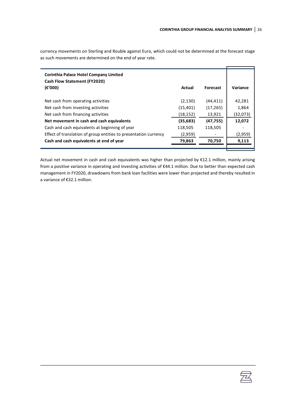currency movements on Sterling and Rouble against Euro, which could not be determined at the forecast stage as such movements are determined on the end of year rate.

| <b>Corinthia Palace Hotel Company Limited</b><br><b>Cash Flow Statement (FY2020)</b><br>$(\epsilon'000)$ | Actual    | <b>Forecast</b> | Variance |
|----------------------------------------------------------------------------------------------------------|-----------|-----------------|----------|
| Net cash from operating activities                                                                       | (2, 130)  | (44,411)        | 42,281   |
| Net cash from investing activities                                                                       | (15,401)  | (17, 265)       | 1,864    |
| Net cash from financing activities                                                                       | (18, 152) | 13,921          | (32,073) |
| Net movement in cash and cash equivalents                                                                | (35, 683) | (47, 755)       | 12,072   |
| Cash and cash equivalents at beginning of year                                                           | 118,505   | 118,505         |          |
| Effect of translation of group entities to presentation currency                                         | (2,959)   |                 | (2,959)  |
| Cash and cash equivalents at end of year                                                                 | 79,863    | 70,750          | 9,113    |
|                                                                                                          |           |                 |          |

Actual net movement in cash and cash equivalents was higher than projected by €12.1 million, mainly arising from a positive variance in operating and investing activities of €44.1 million. Due to better than expected cash management in FY2020, drawdowns from bank loan facilities were lower than projected and thereby resulted in a variance of €32.1 million.

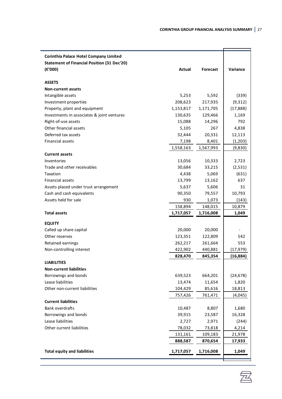| <b>Corinthia Palace Hotel Company Limited</b>      |           |           |           |
|----------------------------------------------------|-----------|-----------|-----------|
| <b>Statement of Financial Position (31 Dec'20)</b> |           |           |           |
| (E'000)                                            | Actual    | Forecast  | Variance  |
| <b>ASSETS</b>                                      |           |           |           |
| <b>Non-current assets</b>                          |           |           |           |
| Intangible assets                                  | 5,253     | 5,592     | (339)     |
| Investment properties                              | 208,623   | 217,935   | (9,312)   |
| Property, plant and equipment                      | 1,153,817 | 1,171,705 | (17, 888) |
| Investments in associates & joint ventures         | 130,635   | 129,466   | 1,169     |
| Right-of-use assets                                | 15,088    | 14,296    | 792       |
| Other financial assets                             | 5,105     | 267       | 4,838     |
| Deferred tax assets                                | 32,444    | 20,331    | 12,113    |
| Financial assets                                   | 7,198     | 8,401     | (1,203)   |
|                                                    | 1,558,163 | 1,567,993 | (9,830)   |
| <b>Current assets</b>                              |           |           |           |
| Inventories                                        | 13,056    | 10,333    | 2,723     |
| Trade and other receivables                        | 30,684    | 33,215    | (2,531)   |
| Taxation                                           | 4,438     | 5,069     | (631)     |
| <b>Financial assets</b>                            | 13,799    | 13,162    | 637       |
| Assets placed under trust arrangement              | 5,637     | 5,606     | 31        |
| Cash and cash equivalents                          | 90,350    | 79,557    | 10,793    |
| Assets held for sale                               | 930       | 1,073     | (143)     |
|                                                    | 158,894   | 148,015   | 10,879    |
| <b>Total assets</b>                                | 1,717,057 | 1,716,008 | 1,049     |
| <b>EQUITY</b>                                      |           |           |           |
| Called up share capital                            | 20,000    | 20,000    |           |
| Other reserves                                     | 123,351   | 122,809   | 542       |
| Retained earnings                                  | 262,217   | 261,664   | 553       |
| Non-controlling interest                           | 422,902   | 440,881   | (17,979)  |
|                                                    | 828,470   | 845,354   | (16, 884) |
| <b>LIABILITIES</b>                                 |           |           |           |
| <b>Non-current liabilities</b>                     |           |           |           |
| Borrowings and bonds                               | 639,523   | 664,201   | (24, 678) |
| Lease liabilities                                  | 13,474    | 11,654    | 1,820     |
| Other non-current liabilities                      | 104,429   | 85,616    | 18,813    |
|                                                    | 757,426   | 761,471   | (4,045)   |
| <b>Current liabilities</b>                         |           |           |           |
| Bank overdrafts                                    | 10,487    | 8,807     | 1,680     |
| Borrowings and bonds                               | 39,915    | 23,587    | 16,328    |
| Lease liabilities                                  | 2,727     | 2,971     | (244)     |
| Other current liabilities                          | 78,032    | 73,818    | 4,214     |
|                                                    | 131,161   | 109,183   | 21,978    |
|                                                    | 888,587   | 870,654   | 17,933    |
| <b>Total equity and liabilities</b>                | 1,717,057 | 1,716,008 | 1,049     |
|                                                    |           |           |           |

室

Ť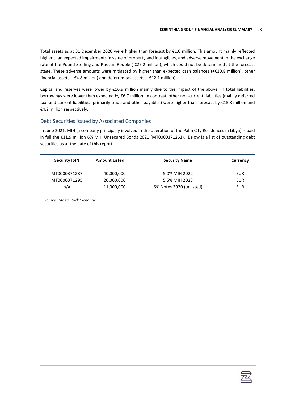Total assets as at 31 December 2020 were higher than forecast by €1.0 million. This amount mainly reflected higher than expected impairments in value of property and intangibles, and adverse movement in the exchange rate of the Pound Sterling and Russian Rouble (-€27.2 million), which could not be determined at the forecast stage. These adverse amounts were mitigated by higher than expected cash balances (+€10.8 million), other financial assets (+€4.8 million) and deferred tax assets (+€12.1 million).

Capital and reserves were lower by €16.9 million mainly due to the impact of the above. In total liabilities, borrowings were lower than expected by €6.7 million. In contrast, other non-current liabilities (mainly deferred tax) and current liabilities (primarily trade and other payables) were higher than forecast by €18.8 million and €4.2 million respectively.

## Debt Securities issued by Associated Companies

In June 2021, MIH (a company principally involved in the operation of the Palm City Residences in Libya) repaid in full the €11.9 million 6% MIH Unsecured Bonds 2021 (MT0000371261). Below is a list of outstanding debt securities as at the date of this report.

| <b>Security ISIN</b> | <b>Amount Listed</b> | <b>Security Name</b>     | Currency   |
|----------------------|----------------------|--------------------------|------------|
| MT0000371287         | 40,000,000           | 5.0% MIH 2022            | EUR        |
| MT0000371295         | 20,000,000           | 5.5% MIH 2023            | <b>EUR</b> |
| n/a                  | 11,000,000           | 6% Notes 2020 (unlisted) | EUR        |

*Source: Malta Stock Exchange*

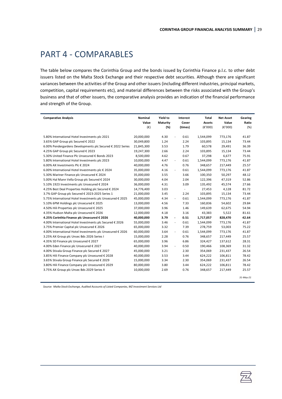# <span id="page-31-0"></span>PART 4 - COMPARABLES

The table below compares the Corinthia Group and the bonds issued by Corinthia Finance p.l.c. to other debt issuers listed on the Malta Stock Exchange and their respective debt securities. Although there are significant variances between the activities of the Group and other issuers (including different industries, principal markets, competition, capital requirements etc), and material differences between the risks associated with the Group's business and that of other issuers, the comparative analysis provides an indication of the financial performance and strength of the Group.

| <b>Comparative Analysis</b>                                | Nominal<br>Value | Yield to<br>Maturity | Interest<br>Cover                | Total<br><b>Assets</b> | <b>Net Asset</b><br>Value | Gearing<br>Ratio |
|------------------------------------------------------------|------------------|----------------------|----------------------------------|------------------------|---------------------------|------------------|
|                                                            | $(\epsilon)$     | (%)                  | (times)                          | (E'000)                | (E'000)                   | (%)              |
| 5.80% International Hotel Investments plc 2021             | 20,000,000       | 4.30                 | 0.61<br>$\overline{\phantom{a}}$ | 1,544,099              | 773,176                   | 41.87            |
| 3.65% GAP Group plc Secured € 2022                         | 30,049,800       | 1.24                 | 2.24                             | 103,895                | 15,134                    | 73.44            |
| 6.00% Pendergardens Developments plc Secured € 2022 Series | 21,845,300       | 3.53                 | 1.79                             | 60,578                 | 29,491                    | 36.39            |
| 4.25% GAP Group plc Secured € 2023                         | 19,247,300       | 2.66                 | 2.24                             | 103,895                | 15,134                    | 73.44            |
| 5.30% United Finance Plc Unsecured € Bonds 2023            | 8,500,000        | 4.62                 | 0.67                             | 37,298                 | 6,677                     | 75.91            |
| 5.80% International Hotel Investments plc 2023             | 10,000,000       | 4.47                 | 0.61<br>$\overline{\phantom{a}}$ | 1,544,099              | 773,176                   | 41.87            |
| 6.00% AX Investments Plc € 2024                            | 40,000,000       | 4.76                 | 0.76                             | 348,657                | 217,449                   | 25.57            |
| 6.00% International Hotel Investments plc € 2024           | 35,000,000       | 4.16                 | 0.61<br>$\sim$                   | 1,544,099              | 773,176                   | 41.87            |
| 5.30% Mariner Finance plc Unsecured € 2024                 | 35,000,000       | 3.55                 | 3.66                             | 100,350                | 50,297                    | 48.12            |
| 5.00% Hal Mann Vella Group plc Secured € 2024              | 30,000,000       | 4.04                 | 2.04                             | 122,396                | 47,319                    | 52.86            |
| 5.10% 1923 Investments plc Unsecured € 2024                | 36,000,000       | 4.31                 | 3.09                             | 135,492                | 45,574                    | 27.66            |
| 4.25% Best Deal Properties Holding plc Secured € 2024      | 14,776,400       | 3.03                 | $\overline{a}$                   | 27,453                 | 4,128                     | 81.72            |
| 3.7% GAP Group plc Secured € 2023-2025 Series 1            | 21,000,000       | 3.45                 | 2.24                             | 103,895                | 15,134                    | 73.44            |
| 5.75% International Hotel Investments plc Unsecured € 2025 | 45,000,000       | 4.34                 | 0.61<br>$\overline{\phantom{a}}$ | 1,544,099              | 773,176                   | 41.87            |
| 5.10% 6PM Holdings plc Unsecured € 2025                    | 13,000,000       | 4.56                 | 7.33                             | 160,836                | 54,602                    | 29.84            |
| 4.50% Hili Properties plc Unsecured € 2025                 | 37,000,000       | 3.96                 | 1.46                             | 149,639                | 62,675                    | 54.94            |
| 4.35% Hudson Malta plc Unsecured € 2026                    | 12,000,000       | 4.18                 | 3.16                             | 43,383                 | 5,522                     | 81.61            |
| 4.25% Corinthia Finance plc Unsecured € 2026               | 40,000,000       | 3.79                 | 0.51<br>$\overline{\phantom{a}}$ | 1,717,057              | 828,470                   | 42.64            |
| 4.00% International Hotel Investments plc Secured € 2026   | 55,000,000       | 3.46                 | 0.61<br>$\sim$                   | 1,544,099              | 773,176                   | 41.87            |
| 3.75% Premier Capital plc Unsecured € 2026                 | 65,000,000       | 3.32                 | 7.39                             | 278,759                | 53,003                    | 75.22            |
| 4.00% International Hotel Investments plc Unsecured € 2026 | 60,000,000       | 3.64                 | 0.61<br>$\sim$                   | 1,544,099              | 773,176                   | 41.87            |
| 3.25% AX Group plc Unsec Bds 2026 Series I                 | 15,000,000       | 2.28                 | 0.76                             | 348,657                | 217,449                   | 25.57            |
| 4.35% SD Finance plc Unsecured € 2027                      | 65,000,000       | 3.96                 | 6.86                             | 324,427                | 137,612                   | 28.31            |
| 4.00% Eden Finance plc Unsecured € 2027                    | 40,000,000       | 3.94                 | 0.50<br>$\overline{\phantom{a}}$ | 190,466                | 108,369                   | 31.32            |
| 4.00% Stivala Group Finance plc Secured € 2027             | 45,000,000       | 3.21                 | 2.30                             | 354,069                | 231,437                   | 26.54            |
| 3.85% Hili Finance Company plc Unsecured € 2028            | 40,000,000       | 3.53                 | 3.44                             | 624,222                | 106,811                   | 78.42            |
| 3.65% Stivala Group Finance plc Secured € 2029             | 15,000,000       | 3.34                 | 2.30                             | 354,069                | 231,437                   | 26.54            |
| 3.80% Hili Finance Company plc Unsecured € 2029            | 80,000,000       | 3.80                 | 3.44                             | 624,222                | 106,811                   | 78.42            |
| 3.75% AX Group plc Unsec Bds 2029 Series II                | 10,000,000       | 2.69                 | 0.76                             | 348,657                | 217,449                   | 25.57            |
|                                                            |                  |                      |                                  |                        |                           | 31-May-21        |
|                                                            |                  |                      |                                  |                        |                           |                  |

*Source: Malta Stock Exchange, Audited Accounts of Listed Companies, MZ Investment Services Ltd*

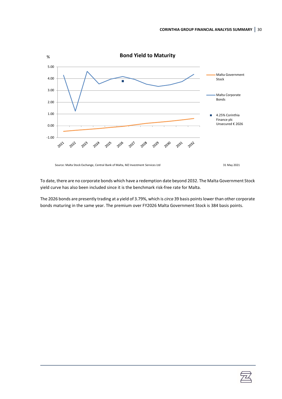

Source: Malta Stock Exchange, Central Bank of Malta, MZ Investment Services Ltd 31 May 2021

To date, there are no corporate bonds which have a redemption date beyond 2032. The Malta Government Stock yield curve has also been included since it is the benchmark risk-free rate for Malta.

The 2026 bonds are presently trading at a yield of 3.79%, which is *circa* 39 basis points lower than other corporate bonds maturing in the same year. The premium over FY2026 Malta Government Stock is 384 basis points.

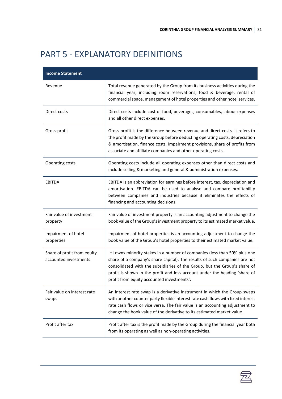# <span id="page-33-0"></span>PART 5 - EXPLANATORY DEFINITIONS

| <b>Income Statement</b>                              |                                                                                                                                                                                                                                                                                                                                                                  |
|------------------------------------------------------|------------------------------------------------------------------------------------------------------------------------------------------------------------------------------------------------------------------------------------------------------------------------------------------------------------------------------------------------------------------|
| Revenue                                              | Total revenue generated by the Group from its business activities during the<br>financial year, including room reservations, food & beverage, rental of<br>commercial space, management of hotel properties and other hotel services.                                                                                                                            |
| Direct costs                                         | Direct costs include cost of food, beverages, consumables, labour expenses<br>and all other direct expenses.                                                                                                                                                                                                                                                     |
| Gross profit                                         | Gross profit is the difference between revenue and direct costs. It refers to<br>the profit made by the Group before deducting operating costs, depreciation<br>& amortisation, finance costs, impairment provisions, share of profits from<br>associate and affiliate companies and other operating costs.                                                      |
| Operating costs                                      | Operating costs include all operating expenses other than direct costs and<br>include selling & marketing and general & administration expenses.                                                                                                                                                                                                                 |
| <b>EBITDA</b>                                        | EBITDA is an abbreviation for earnings before interest, tax, depreciation and<br>amortisation. EBITDA can be used to analyse and compare profitability<br>between companies and industries because it eliminates the effects of<br>financing and accounting decisions.                                                                                           |
| Fair value of investment<br>property                 | Fair value of investment property is an accounting adjustment to change the<br>book value of the Group's investment property to its estimated market value.                                                                                                                                                                                                      |
| Impairment of hotel<br>properties                    | Impairment of hotel properties is an accounting adjustment to change the<br>book value of the Group's hotel properties to their estimated market value.                                                                                                                                                                                                          |
| Share of profit from equity<br>accounted investments | IHI owns minority stakes in a number of companies (less than 50% plus one<br>share of a company's share capital). The results of such companies are not<br>consolidated with the subsidiaries of the Group, but the Group's share of<br>profit is shown in the profit and loss account under the heading 'share of<br>profit from equity accounted investments'. |
| Fair value on interest rate<br>swaps                 | An interest rate swap is a derivative instrument in which the Group swaps<br>with another counter party flexible interest rate cash flows with fixed interest<br>rate cash flows or vice versa. The fair value is an accounting adjustment to<br>change the book value of the derivative to its estimated market value.                                          |
| Profit after tax                                     | Profit after tax is the profit made by the Group during the financial year both<br>from its operating as well as non-operating activities.                                                                                                                                                                                                                       |

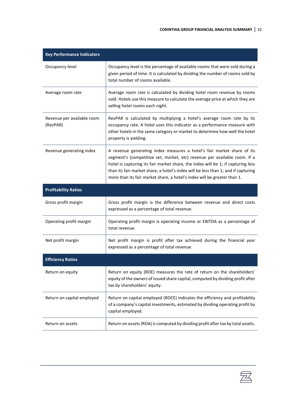| <b>Key Performance Indicators</b>      |                                                                                                                                                                                                                                                                                                                                                                                                          |
|----------------------------------------|----------------------------------------------------------------------------------------------------------------------------------------------------------------------------------------------------------------------------------------------------------------------------------------------------------------------------------------------------------------------------------------------------------|
| Occupancy level                        | Occupancy level is the percentage of available rooms that were sold during a<br>given period of time. It is calculated by dividing the number of rooms sold by<br>total number of rooms available.                                                                                                                                                                                                       |
| Average room rate                      | Average room rate is calculated by dividing hotel room revenue by rooms<br>sold. Hotels use this measure to calculate the average price at which they are<br>selling hotel rooms each night.                                                                                                                                                                                                             |
| Revenue per available room<br>(RevPAR) | RevPAR is calculated by multiplying a hotel's average room rate by its<br>occupancy rate. A hotel uses this indicator as a performance measure with<br>other hotels in the same category or market to determine how well the hotel<br>property is yielding.                                                                                                                                              |
| Revenue generating index               | A revenue generating index measures a hotel's fair market share of its<br>segment's (competitive set, market, etc) revenue per available room. If a<br>hotel is capturing its fair market share, the index will be 1; if capturing less<br>than its fair market share, a hotel's index will be less than 1; and if capturing<br>more than its fair market share, a hotel's index will be greater than 1. |
| <b>Profitability Ratios</b>            |                                                                                                                                                                                                                                                                                                                                                                                                          |
| Gross profit margin                    | Gross profit margin is the difference between revenue and direct costs<br>expressed as a percentage of total revenue.                                                                                                                                                                                                                                                                                    |
| Operating profit margin                | Operating profit margin is operating income or EBITDA as a percentage of<br>total revenue.                                                                                                                                                                                                                                                                                                               |
| Net profit margin                      | Net profit margin is profit after tax achieved during the financial year<br>expressed as a percentage of total revenue.                                                                                                                                                                                                                                                                                  |
| <b>Efficiency Ratios</b>               |                                                                                                                                                                                                                                                                                                                                                                                                          |
| Return on equity                       | Return on equity (ROE) measures the rate of return on the shareholders'<br>equity of the owners of issued share capital, computed by dividing profit after<br>tax by shareholders' equity.                                                                                                                                                                                                               |
| Return on capital employed             | Return on capital employed (ROCE) indicates the efficiency and profitability<br>of a company's capital investments, estimated by dividing operating profit by<br>capital employed.                                                                                                                                                                                                                       |
| Return on assets                       | Return on assets (ROA) is computed by dividing profit after tax by total assets.                                                                                                                                                                                                                                                                                                                         |

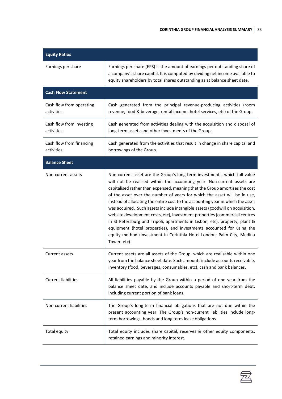| <b>Equity Ratios</b>                   |                                                                                                                                                                                                                                                                                                                                                                                                                                                                                                                                                                                                                                                                                                                                                                                                                      |
|----------------------------------------|----------------------------------------------------------------------------------------------------------------------------------------------------------------------------------------------------------------------------------------------------------------------------------------------------------------------------------------------------------------------------------------------------------------------------------------------------------------------------------------------------------------------------------------------------------------------------------------------------------------------------------------------------------------------------------------------------------------------------------------------------------------------------------------------------------------------|
| Earnings per share                     | Earnings per share (EPS) is the amount of earnings per outstanding share of<br>a company's share capital. It is computed by dividing net income available to<br>equity shareholders by total shares outstanding as at balance sheet date.                                                                                                                                                                                                                                                                                                                                                                                                                                                                                                                                                                            |
| <b>Cash Flow Statement</b>             |                                                                                                                                                                                                                                                                                                                                                                                                                                                                                                                                                                                                                                                                                                                                                                                                                      |
| Cash flow from operating<br>activities | Cash generated from the principal revenue-producing activities (room<br>revenue, food & beverage, rental income, hotel services, etc) of the Group.                                                                                                                                                                                                                                                                                                                                                                                                                                                                                                                                                                                                                                                                  |
| Cash flow from investing<br>activities | Cash generated from activities dealing with the acquisition and disposal of<br>long-term assets and other investments of the Group.                                                                                                                                                                                                                                                                                                                                                                                                                                                                                                                                                                                                                                                                                  |
| Cash flow from financing<br>activities | Cash generated from the activities that result in change in share capital and<br>borrowings of the Group.                                                                                                                                                                                                                                                                                                                                                                                                                                                                                                                                                                                                                                                                                                            |
| <b>Balance Sheet</b>                   |                                                                                                                                                                                                                                                                                                                                                                                                                                                                                                                                                                                                                                                                                                                                                                                                                      |
| Non-current assets                     | Non-current asset are the Group's long-term investments, which full value<br>will not be realised within the accounting year. Non-current assets are<br>capitalised rather than expensed, meaning that the Group amortises the cost<br>of the asset over the number of years for which the asset will be in use,<br>instead of allocating the entire cost to the accounting year in which the asset<br>was acquired. Such assets include intangible assets (goodwill on acquisition,<br>website development costs, etc), investment properties (commercial centres<br>in St Petersburg and Tripoli, apartments in Lisbon, etc), property, plant &<br>equipment (hotel properties), and investments accounted for using the<br>equity method (investment in Corinthia Hotel London, Palm City, Medina<br>Tower, etc). |
| Current assets                         | Current assets are all assets of the Group, which are realisable within one<br>year from the balance sheet date. Such amounts include accounts receivable,<br>inventory (food, beverages, consumables, etc), cash and bank balances.                                                                                                                                                                                                                                                                                                                                                                                                                                                                                                                                                                                 |
| <b>Current liabilities</b>             | All liabilities payable by the Group within a period of one year from the<br>balance sheet date, and include accounts payable and short-term debt,<br>including current portion of bank loans.                                                                                                                                                                                                                                                                                                                                                                                                                                                                                                                                                                                                                       |
| Non-current liabilities                | The Group's long-term financial obligations that are not due within the<br>present accounting year. The Group's non-current liabilities include long-<br>term borrowings, bonds and long term lease obligations.                                                                                                                                                                                                                                                                                                                                                                                                                                                                                                                                                                                                     |
| Total equity                           | Total equity includes share capital, reserves & other equity components,<br>retained earnings and minority interest.                                                                                                                                                                                                                                                                                                                                                                                                                                                                                                                                                                                                                                                                                                 |

丞